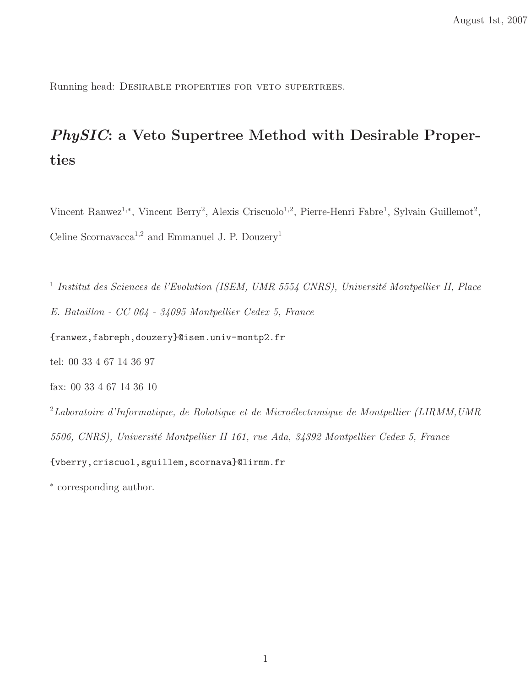Running head: Desirable properties for veto supertrees.

# PhySIC: a Veto Supertree Method with Desirable Properties

Vincent Ranwez<sup>1,\*</sup>, Vincent Berry<sup>2</sup>, Alexis Criscuolo<sup>1,2</sup>, Pierre-Henri Fabre<sup>1</sup>, Sylvain Guillemot<sup>2</sup>, Celine Scornavacca<sup>1,2</sup> and Emmanuel J. P. Douzery<sup>1</sup>

<sup>1</sup> Institut des Sciences de l'Evolution (ISEM, UMR 5554 CNRS), Université Montpellier II, Place E. Bataillon - CC 064 - 34095 Montpellier Cedex 5, France

{ranwez,fabreph,douzery}@isem.univ-montp2.fr

tel: 00 33 4 67 14 36 97

fax: 00 33 4 67 14 36 10

 $2$ Laboratoire d'Informatique, de Robotique et de Microélectronique de Montpellier (LIRMM,UMR) 5506, CNRS), Université Montpellier II 161, rue Ada, 34392 Montpellier Cedex 5, France {vberry,criscuol,sguillem,scornava}@lirmm.fr

∗ corresponding author.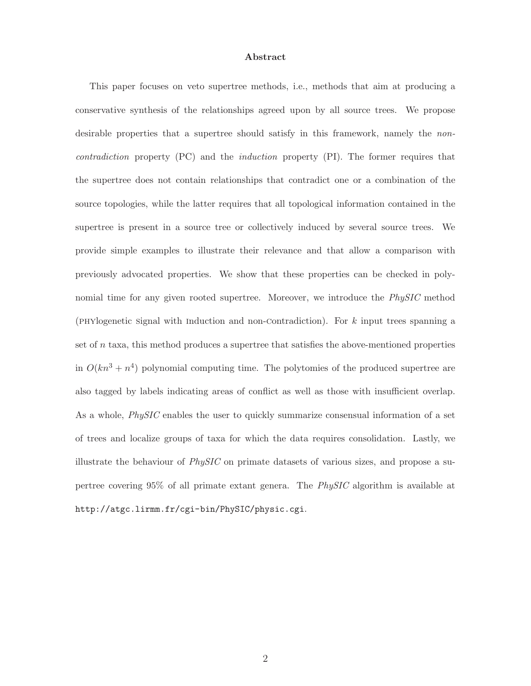#### Abstract

This paper focuses on veto supertree methods, i.e., methods that aim at producing a conservative synthesis of the relationships agreed upon by all source trees. We propose desirable properties that a supertree should satisfy in this framework, namely the *non*contradiction property (PC) and the induction property (PI). The former requires that the supertree does not contain relationships that contradict one or a combination of the source topologies, while the latter requires that all topological information contained in the supertree is present in a source tree or collectively induced by several source trees. We provide simple examples to illustrate their relevance and that allow a comparison with previously advocated properties. We show that these properties can be checked in polynomial time for any given rooted supertree. Moreover, we introduce the PhySIC method (phylogenetic signal with induction and non-contradiction). For k input trees spanning a set of  $n$  taxa, this method produces a supertree that satisfies the above-mentioned properties in  $O(kn^3 + n^4)$  polynomial computing time. The polytomies of the produced supertree are also tagged by labels indicating areas of conflict as well as those with insufficient overlap. As a whole, *PhySIC* enables the user to quickly summarize consensual information of a set of trees and localize groups of taxa for which the data requires consolidation. Lastly, we illustrate the behaviour of  $PhysIC$  on primate datasets of various sizes, and propose a supertree covering 95% of all primate extant genera. The PhySIC algorithm is available at http://atgc.lirmm.fr/cgi-bin/PhySIC/physic.cgi.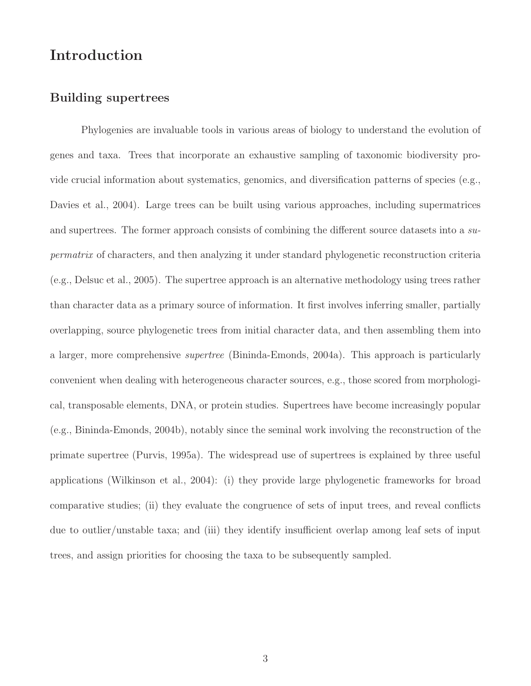# Introduction

# Building supertrees

Phylogenies are invaluable tools in various areas of biology to understand the evolution of genes and taxa. Trees that incorporate an exhaustive sampling of taxonomic biodiversity provide crucial information about systematics, genomics, and diversification patterns of species (e.g., Davies et al., 2004). Large trees can be built using various approaches, including supermatrices and supertrees. The former approach consists of combining the different source datasets into a supermatrix of characters, and then analyzing it under standard phylogenetic reconstruction criteria (e.g., Delsuc et al., 2005). The supertree approach is an alternative methodology using trees rather than character data as a primary source of information. It first involves inferring smaller, partially overlapping, source phylogenetic trees from initial character data, and then assembling them into a larger, more comprehensive supertree (Bininda-Emonds, 2004a). This approach is particularly convenient when dealing with heterogeneous character sources, e.g., those scored from morphological, transposable elements, DNA, or protein studies. Supertrees have become increasingly popular (e.g., Bininda-Emonds, 2004b), notably since the seminal work involving the reconstruction of the primate supertree (Purvis, 1995a). The widespread use of supertrees is explained by three useful applications (Wilkinson et al., 2004): (i) they provide large phylogenetic frameworks for broad comparative studies; (ii) they evaluate the congruence of sets of input trees, and reveal conflicts due to outlier/unstable taxa; and (iii) they identify insufficient overlap among leaf sets of input trees, and assign priorities for choosing the taxa to be subsequently sampled.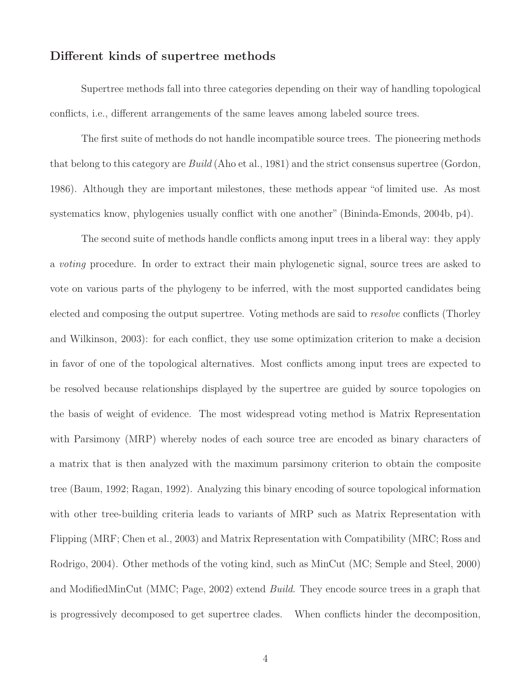### Different kinds of supertree methods

Supertree methods fall into three categories depending on their way of handling topological conflicts, i.e., different arrangements of the same leaves among labeled source trees.

The first suite of methods do not handle incompatible source trees. The pioneering methods that belong to this category are Build (Aho et al., 1981) and the strict consensus supertree (Gordon, 1986). Although they are important milestones, these methods appear "of limited use. As most systematics know, phylogenies usually conflict with one another" (Bininda-Emonds, 2004b, p4).

The second suite of methods handle conflicts among input trees in a liberal way: they apply a voting procedure. In order to extract their main phylogenetic signal, source trees are asked to vote on various parts of the phylogeny to be inferred, with the most supported candidates being elected and composing the output supertree. Voting methods are said to resolve conflicts (Thorley and Wilkinson, 2003): for each conflict, they use some optimization criterion to make a decision in favor of one of the topological alternatives. Most conflicts among input trees are expected to be resolved because relationships displayed by the supertree are guided by source topologies on the basis of weight of evidence. The most widespread voting method is Matrix Representation with Parsimony (MRP) whereby nodes of each source tree are encoded as binary characters of a matrix that is then analyzed with the maximum parsimony criterion to obtain the composite tree (Baum, 1992; Ragan, 1992). Analyzing this binary encoding of source topological information with other tree-building criteria leads to variants of MRP such as Matrix Representation with Flipping (MRF; Chen et al., 2003) and Matrix Representation with Compatibility (MRC; Ross and Rodrigo, 2004). Other methods of the voting kind, such as MinCut (MC; Semple and Steel, 2000) and ModifiedMinCut (MMC; Page, 2002) extend Build. They encode source trees in a graph that is progressively decomposed to get supertree clades. When conflicts hinder the decomposition,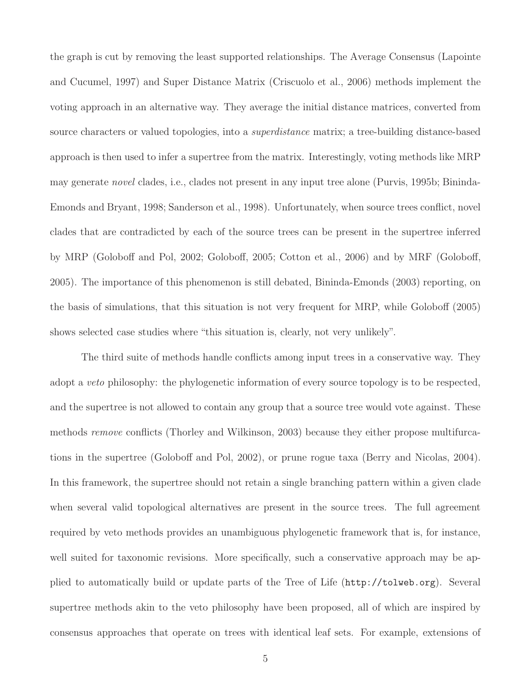the graph is cut by removing the least supported relationships. The Average Consensus (Lapointe and Cucumel, 1997) and Super Distance Matrix (Criscuolo et al., 2006) methods implement the voting approach in an alternative way. They average the initial distance matrices, converted from source characters or valued topologies, into a *superdistance* matrix; a tree-building distance-based approach is then used to infer a supertree from the matrix. Interestingly, voting methods like MRP may generate novel clades, i.e., clades not present in any input tree alone (Purvis, 1995b; Bininda-Emonds and Bryant, 1998; Sanderson et al., 1998). Unfortunately, when source trees conflict, novel clades that are contradicted by each of the source trees can be present in the supertree inferred by MRP (Goloboff and Pol, 2002; Goloboff, 2005; Cotton et al., 2006) and by MRF (Goloboff, 2005). The importance of this phenomenon is still debated, Bininda-Emonds (2003) reporting, on the basis of simulations, that this situation is not very frequent for MRP, while Goloboff (2005) shows selected case studies where "this situation is, clearly, not very unlikely".

The third suite of methods handle conflicts among input trees in a conservative way. They adopt a veto philosophy: the phylogenetic information of every source topology is to be respected, and the supertree is not allowed to contain any group that a source tree would vote against. These methods *remove* conflicts (Thorley and Wilkinson, 2003) because they either propose multifurcations in the supertree (Goloboff and Pol, 2002), or prune rogue taxa (Berry and Nicolas, 2004). In this framework, the supertree should not retain a single branching pattern within a given clade when several valid topological alternatives are present in the source trees. The full agreement required by veto methods provides an unambiguous phylogenetic framework that is, for instance, well suited for taxonomic revisions. More specifically, such a conservative approach may be applied to automatically build or update parts of the Tree of Life (http://tolweb.org). Several supertree methods akin to the veto philosophy have been proposed, all of which are inspired by consensus approaches that operate on trees with identical leaf sets. For example, extensions of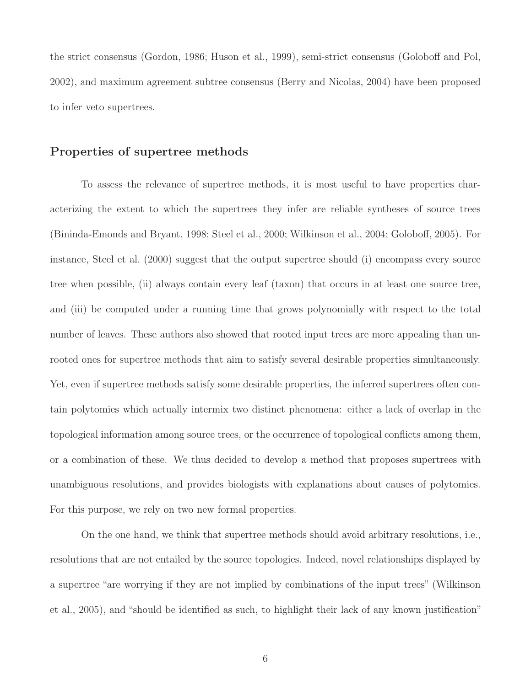the strict consensus (Gordon, 1986; Huson et al., 1999), semi-strict consensus (Goloboff and Pol, 2002), and maximum agreement subtree consensus (Berry and Nicolas, 2004) have been proposed to infer veto supertrees.

### Properties of supertree methods

To assess the relevance of supertree methods, it is most useful to have properties characterizing the extent to which the supertrees they infer are reliable syntheses of source trees (Bininda-Emonds and Bryant, 1998; Steel et al., 2000; Wilkinson et al., 2004; Goloboff, 2005). For instance, Steel et al. (2000) suggest that the output supertree should (i) encompass every source tree when possible, (ii) always contain every leaf (taxon) that occurs in at least one source tree, and (iii) be computed under a running time that grows polynomially with respect to the total number of leaves. These authors also showed that rooted input trees are more appealing than unrooted ones for supertree methods that aim to satisfy several desirable properties simultaneously. Yet, even if supertree methods satisfy some desirable properties, the inferred supertrees often contain polytomies which actually intermix two distinct phenomena: either a lack of overlap in the topological information among source trees, or the occurrence of topological conflicts among them, or a combination of these. We thus decided to develop a method that proposes supertrees with unambiguous resolutions, and provides biologists with explanations about causes of polytomies. For this purpose, we rely on two new formal properties.

On the one hand, we think that supertree methods should avoid arbitrary resolutions, i.e., resolutions that are not entailed by the source topologies. Indeed, novel relationships displayed by a supertree "are worrying if they are not implied by combinations of the input trees" (Wilkinson et al., 2005), and "should be identified as such, to highlight their lack of any known justification"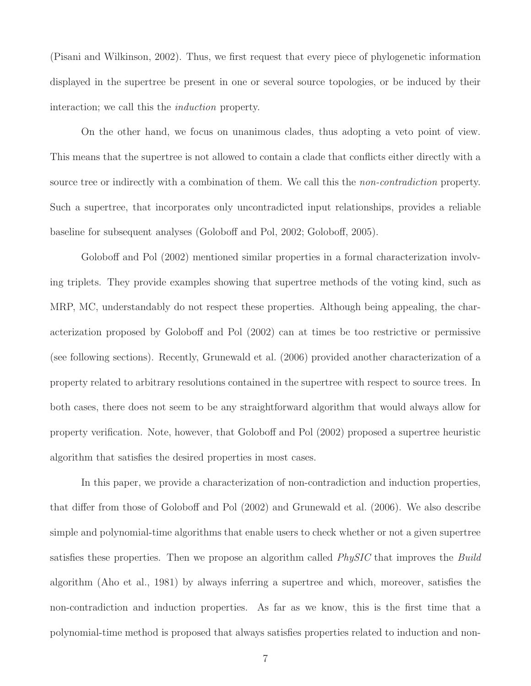(Pisani and Wilkinson, 2002). Thus, we first request that every piece of phylogenetic information displayed in the supertree be present in one or several source topologies, or be induced by their interaction; we call this the induction property.

On the other hand, we focus on unanimous clades, thus adopting a veto point of view. This means that the supertree is not allowed to contain a clade that conflicts either directly with a source tree or indirectly with a combination of them. We call this the *non-contradiction* property. Such a supertree, that incorporates only uncontradicted input relationships, provides a reliable baseline for subsequent analyses (Goloboff and Pol, 2002; Goloboff, 2005).

Goloboff and Pol (2002) mentioned similar properties in a formal characterization involving triplets. They provide examples showing that supertree methods of the voting kind, such as MRP, MC, understandably do not respect these properties. Although being appealing, the characterization proposed by Goloboff and Pol (2002) can at times be too restrictive or permissive (see following sections). Recently, Grunewald et al. (2006) provided another characterization of a property related to arbitrary resolutions contained in the supertree with respect to source trees. In both cases, there does not seem to be any straightforward algorithm that would always allow for property verification. Note, however, that Goloboff and Pol (2002) proposed a supertree heuristic algorithm that satisfies the desired properties in most cases.

In this paper, we provide a characterization of non-contradiction and induction properties, that differ from those of Goloboff and Pol (2002) and Grunewald et al. (2006). We also describe simple and polynomial-time algorithms that enable users to check whether or not a given supertree satisfies these properties. Then we propose an algorithm called *PhySIC* that improves the *Build* algorithm (Aho et al., 1981) by always inferring a supertree and which, moreover, satisfies the non-contradiction and induction properties. As far as we know, this is the first time that a polynomial-time method is proposed that always satisfies properties related to induction and non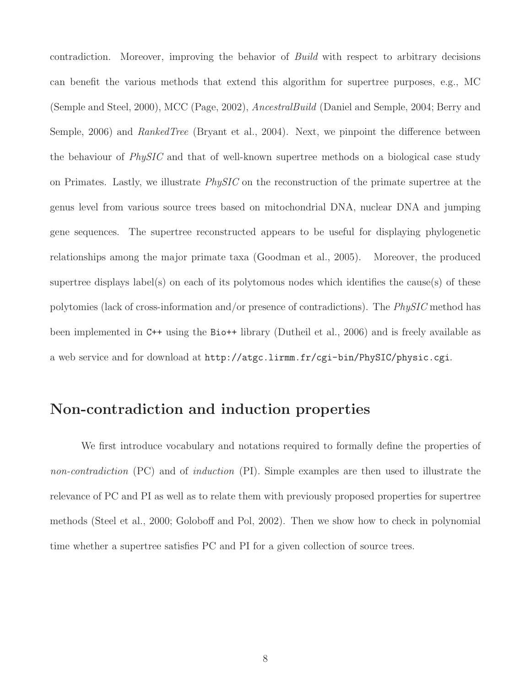contradiction. Moreover, improving the behavior of Build with respect to arbitrary decisions can benefit the various methods that extend this algorithm for supertree purposes, e.g., MC (Semple and Steel, 2000), MCC (Page, 2002), AncestralBuild (Daniel and Semple, 2004; Berry and Semple, 2006) and RankedTree (Bryant et al., 2004). Next, we pinpoint the difference between the behaviour of PhySIC and that of well-known supertree methods on a biological case study on Primates. Lastly, we illustrate PhySIC on the reconstruction of the primate supertree at the genus level from various source trees based on mitochondrial DNA, nuclear DNA and jumping gene sequences. The supertree reconstructed appears to be useful for displaying phylogenetic relationships among the major primate taxa (Goodman et al., 2005). Moreover, the produced supertree displays label(s) on each of its polytomous nodes which identifies the cause(s) of these polytomies (lack of cross-information and/or presence of contradictions). The PhySIC method has been implemented in C++ using the Bio++ library (Dutheil et al., 2006) and is freely available as a web service and for download at http://atgc.lirmm.fr/cgi-bin/PhySIC/physic.cgi.

# Non-contradiction and induction properties

We first introduce vocabulary and notations required to formally define the properties of non-contradiction (PC) and of induction (PI). Simple examples are then used to illustrate the relevance of PC and PI as well as to relate them with previously proposed properties for supertree methods (Steel et al., 2000; Goloboff and Pol, 2002). Then we show how to check in polynomial time whether a supertree satisfies PC and PI for a given collection of source trees.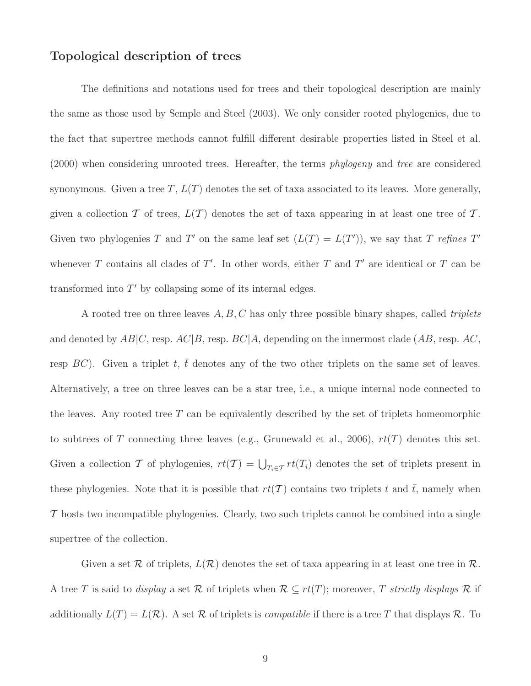# Topological description of trees

The definitions and notations used for trees and their topological description are mainly the same as those used by Semple and Steel (2003). We only consider rooted phylogenies, due to the fact that supertree methods cannot fulfill different desirable properties listed in Steel et al. (2000) when considering unrooted trees. Hereafter, the terms *phylogeny* and tree are considered synonymous. Given a tree T,  $L(T)$  denotes the set of taxa associated to its leaves. More generally, given a collection T of trees,  $L(\mathcal{T})$  denotes the set of taxa appearing in at least one tree of T. Given two phylogenies T and T' on the same leaf set  $(L(T) = L(T'))$ , we say that T refines T' whenever T contains all clades of  $T'$ . In other words, either T and T' are identical or T can be transformed into  $T'$  by collapsing some of its internal edges.

A rooted tree on three leaves  $A, B, C$  has only three possible binary shapes, called *triplets* and denoted by  $AB|C$ , resp.  $AC|B$ , resp.  $BC|A$ , depending on the innermost clade  $(AB, \text{resp. } AC)$ , resp BC). Given a triplet t,  $\bar{t}$  denotes any of the two other triplets on the same set of leaves. Alternatively, a tree on three leaves can be a star tree, i.e., a unique internal node connected to the leaves. Any rooted tree  $T$  can be equivalently described by the set of triplets homeomorphic to subtrees of T connecting three leaves (e.g., Grunewald et al., 2006),  $rt(T)$  denotes this set. Given a collection T of phylogenies,  $rt(T) = \bigcup_{T_i \in T} rt(T_i)$  denotes the set of triplets present in these phylogenies. Note that it is possible that  $rt(\mathcal{T})$  contains two triplets t and  $\bar{t}$ , namely when  $\mathcal T$  hosts two incompatible phylogenies. Clearly, two such triplets cannot be combined into a single supertree of the collection.

Given a set  $\mathcal R$  of triplets,  $L(\mathcal R)$  denotes the set of taxa appearing in at least one tree in  $\mathcal R$ . A tree T is said to *display* a set R of triplets when  $\mathcal{R} \subseteq rt(T)$ ; moreover, T strictly displays R if additionally  $L(T) = L(\mathcal{R})$ . A set  $\mathcal R$  of triplets is *compatible* if there is a tree T that displays  $\mathcal R$ . To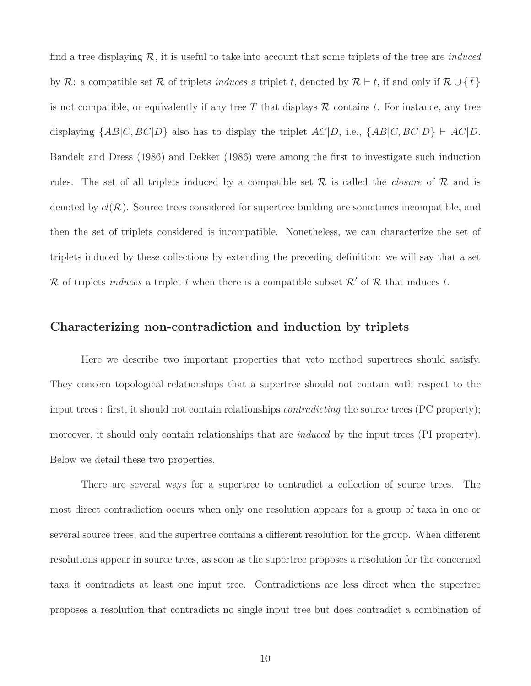find a tree displaying  $\mathcal{R}$ , it is useful to take into account that some triplets of the tree are *induced* by R: a compatible set R of triplets induces a triplet t, denoted by  $\mathcal{R} \vdash t$ , if and only if  $\mathcal{R} \cup \{\bar{t}\}\$ is not compatible, or equivalently if any tree T that displays  $R$  contains t. For instance, any tree displaying  $\{AB|C, BC|D\}$  also has to display the triplet  $AC|D$ , i.e.,  $\{AB|C, BC|D\} \vdash AC|D$ . Bandelt and Dress (1986) and Dekker (1986) were among the first to investigate such induction rules. The set of all triplets induced by a compatible set  $\mathcal R$  is called the *closure* of  $\mathcal R$  and is denoted by  $cl(\mathcal{R})$ . Source trees considered for supertree building are sometimes incompatible, and then the set of triplets considered is incompatible. Nonetheless, we can characterize the set of triplets induced by these collections by extending the preceding definition: we will say that a set R of triplets *induces* a triplet t when there is a compatible subset  $\mathcal{R}'$  of R that induces t.

# Characterizing non-contradiction and induction by triplets

Here we describe two important properties that veto method supertrees should satisfy. They concern topological relationships that a supertree should not contain with respect to the input trees : first, it should not contain relationships *contradicting* the source trees (PC property); moreover, it should only contain relationships that are *induced* by the input trees (PI property). Below we detail these two properties.

There are several ways for a supertree to contradict a collection of source trees. The most direct contradiction occurs when only one resolution appears for a group of taxa in one or several source trees, and the supertree contains a different resolution for the group. When different resolutions appear in source trees, as soon as the supertree proposes a resolution for the concerned taxa it contradicts at least one input tree. Contradictions are less direct when the supertree proposes a resolution that contradicts no single input tree but does contradict a combination of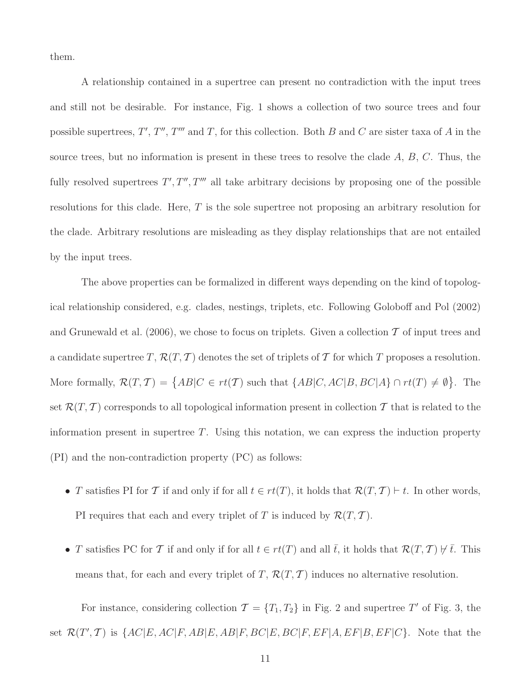them.

A relationship contained in a supertree can present no contradiction with the input trees and still not be desirable. For instance, Fig. 1 shows a collection of two source trees and four possible supertrees,  $T', T'', T'''$  and T, for this collection. Both B and C are sister taxa of A in the source trees, but no information is present in these trees to resolve the clade  $A, B, C$ . Thus, the fully resolved supertrees  $T', T'', T'''$  all take arbitrary decisions by proposing one of the possible resolutions for this clade. Here, T is the sole supertree not proposing an arbitrary resolution for the clade. Arbitrary resolutions are misleading as they display relationships that are not entailed by the input trees.

The above properties can be formalized in different ways depending on the kind of topological relationship considered, e.g. clades, nestings, triplets, etc. Following Goloboff and Pol (2002) and Grunewald et al. (2006), we chose to focus on triplets. Given a collection  $\mathcal T$  of input trees and a candidate supertree T,  $\mathcal{R}(T, \mathcal{T})$  denotes the set of triplets of T for which T proposes a resolution. More formally,  $\mathcal{R}(T, \mathcal{T}) = \{ AB | C \in rt(\mathcal{T}) \text{ such that } \{ AB | C, AC | B, BC | A \} \cap rt(T) \neq \emptyset \}.$  The set  $\mathcal{R}(T, T)$  corresponds to all topological information present in collection T that is related to the information present in supertree  $T$ . Using this notation, we can express the induction property (PI) and the non-contradiction property (PC) as follows:

- T satisfies PI for T if and only if for all  $t \in rt(T)$ , it holds that  $\mathcal{R}(T, T) \vdash t$ . In other words, PI requires that each and every triplet of T is induced by  $\mathcal{R}(T, \mathcal{T})$ .
- T satisfies PC for T if and only if for all  $t \in rt(T)$  and all  $\bar{t}$ , it holds that  $\mathcal{R}(T, T) \not\vdash \bar{t}$ . This means that, for each and every triplet of T,  $\mathcal{R}(T, \mathcal{T})$  induces no alternative resolution.

For instance, considering collection  $\mathcal{T} = \{T_1, T_2\}$  in Fig. 2 and supertree T' of Fig. 3, the set  $\mathcal{R}(T',\mathcal{T})$  is  $\{AC|E,AC|F,AB|E,AB|F,BC|E,BC|F,EF|A,EF|B,EF|C\}$ . Note that the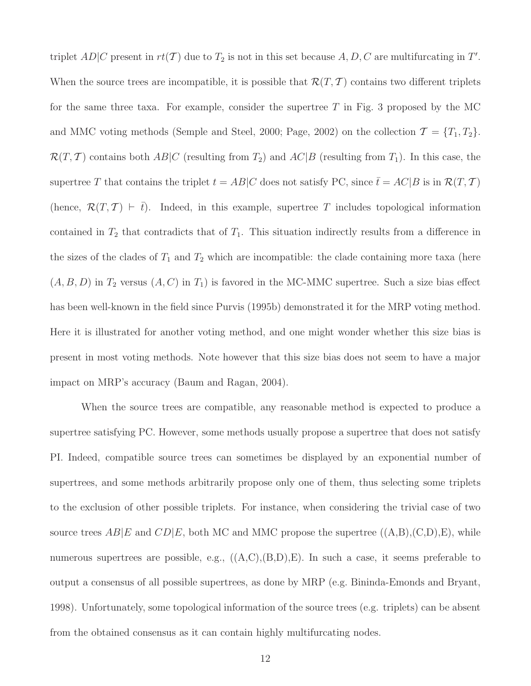triplet  $AD|C$  present in  $rt(T)$  due to  $T_2$  is not in this set because  $A, D, C$  are multifurcating in  $T'$ . When the source trees are incompatible, it is possible that  $\mathcal{R}(T, \mathcal{T})$  contains two different triplets for the same three taxa. For example, consider the supertree  $T$  in Fig. 3 proposed by the MC and MMC voting methods (Semple and Steel, 2000; Page, 2002) on the collection  $\mathcal{T} = \{T_1, T_2\}$ .  $\mathcal{R}(T, T)$  contains both  $AB|C$  (resulting from  $T_2$ ) and  $AC|B$  (resulting from  $T_1$ ). In this case, the supertree T that contains the triplet  $t = AB|C$  does not satisfy PC, since  $\bar{t} = AC|B$  is in  $\mathcal{R}(T, \mathcal{T})$ (hence,  $\mathcal{R}(T, \mathcal{T}) \vdash \overline{t}$ ). Indeed, in this example, supertree T includes topological information contained in  $T_2$  that contradicts that of  $T_1$ . This situation indirectly results from a difference in the sizes of the clades of  $T_1$  and  $T_2$  which are incompatible: the clade containing more taxa (here  $(A, B, D)$  in  $T_2$  versus  $(A, C)$  in  $T_1$ ) is favored in the MC-MMC supertree. Such a size bias effect has been well-known in the field since Purvis (1995b) demonstrated it for the MRP voting method. Here it is illustrated for another voting method, and one might wonder whether this size bias is present in most voting methods. Note however that this size bias does not seem to have a major impact on MRP's accuracy (Baum and Ragan, 2004).

When the source trees are compatible, any reasonable method is expected to produce a supertree satisfying PC. However, some methods usually propose a supertree that does not satisfy PI. Indeed, compatible source trees can sometimes be displayed by an exponential number of supertrees, and some methods arbitrarily propose only one of them, thus selecting some triplets to the exclusion of other possible triplets. For instance, when considering the trivial case of two source trees  $AB|E$  and  $CD|E$ , both MC and MMC propose the supertree  $((A,B),(C,D),E)$ , while numerous supertrees are possible, e.g.,  $((A,C),(B,D),E)$ . In such a case, it seems preferable to output a consensus of all possible supertrees, as done by MRP (e.g. Bininda-Emonds and Bryant, 1998). Unfortunately, some topological information of the source trees (e.g. triplets) can be absent from the obtained consensus as it can contain highly multifurcating nodes.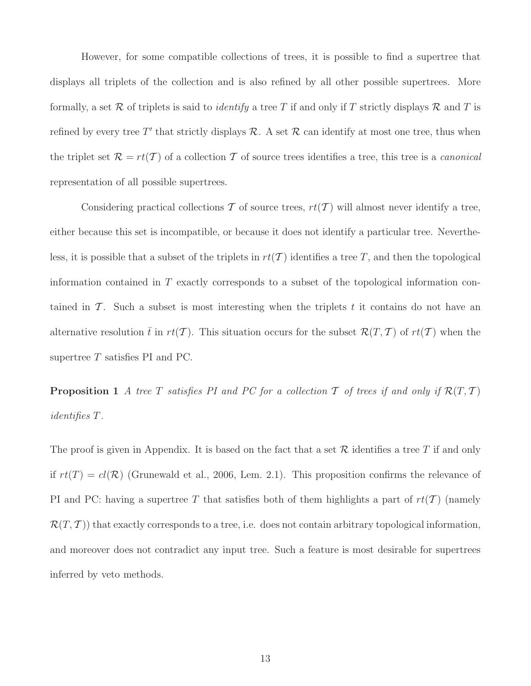However, for some compatible collections of trees, it is possible to find a supertree that displays all triplets of the collection and is also refined by all other possible supertrees. More formally, a set R of triplets is said to *identify* a tree T if and only if T strictly displays R and T is refined by every tree T' that strictly displays  $R$ . A set  $R$  can identify at most one tree, thus when the triplet set  $\mathcal{R} = rt(\mathcal{T})$  of a collection  $\mathcal T$  of source trees identifies a tree, this tree is a *canonical* representation of all possible supertrees.

Considering practical collections T of source trees,  $rt(T)$  will almost never identify a tree, either because this set is incompatible, or because it does not identify a particular tree. Nevertheless, it is possible that a subset of the triplets in  $rt(\mathcal{T})$  identifies a tree T, and then the topological information contained in  $T$  exactly corresponds to a subset of the topological information contained in  $\mathcal T$ . Such a subset is most interesting when the triplets t it contains do not have an alternative resolution  $\bar{t}$  in  $rt(\mathcal{T})$ . This situation occurs for the subset  $\mathcal{R}(T, \mathcal{T})$  of  $rt(\mathcal{T})$  when the supertree  $T$  satisfies PI and PC.

**Proposition 1** A tree T satisfies PI and PC for a collection T of trees if and only if  $\mathcal{R}(T, T)$ identifies T.

The proof is given in Appendix. It is based on the fact that a set  $\mathcal R$  identifies a tree T if and only if  $rt(T) = cl(\mathcal{R})$  (Grunewald et al., 2006, Lem. 2.1). This proposition confirms the relevance of PI and PC: having a supertree T that satisfies both of them highlights a part of  $rt(\mathcal{T})$  (namely  $\mathcal{R}(T, \mathcal{T})$ ) that exactly corresponds to a tree, i.e. does not contain arbitrary topological information, and moreover does not contradict any input tree. Such a feature is most desirable for supertrees inferred by veto methods.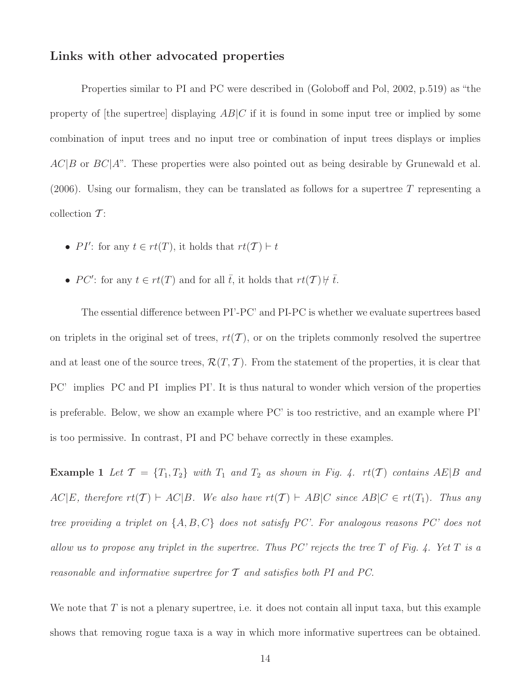# Links with other advocated properties

Properties similar to PI and PC were described in (Goloboff and Pol, 2002, p.519) as "the property of [the supertree] displaying  $AB|C$  if it is found in some input tree or implied by some combination of input trees and no input tree or combination of input trees displays or implies  $AC|B$  or  $BC|A$ ". These properties were also pointed out as being desirable by Grunewald et al. (2006). Using our formalism, they can be translated as follows for a supertree  $T$  representing a collection  $T$ :

- PI': for any  $t \in rt(T)$ , it holds that  $rt(T) \vdash t$
- PC': for any  $t \in rt(T)$  and for all  $\overline{t}$ , it holds that  $rt(T) \nvdash \overline{t}$ .

The essential difference between PI'-PC' and PI-PC is whether we evaluate supertrees based on triplets in the original set of trees,  $rt(\mathcal{T})$ , or on the triplets commonly resolved the supertree and at least one of the source trees,  $\mathcal{R}(T, \mathcal{T})$ . From the statement of the properties, it is clear that PC' implies PC and PI implies PI'. It is thus natural to wonder which version of the properties is preferable. Below, we show an example where PC' is too restrictive, and an example where PI' is too permissive. In contrast, PI and PC behave correctly in these examples.

**Example 1** Let  $\mathcal{T} = \{T_1, T_2\}$  with  $T_1$  and  $T_2$  as shown in Fig. 4.  $rt(\mathcal{T})$  contains  $AE|B$  and  $AC|E$ , therefore  $rt(\mathcal{T}) \vdash AC|B$ . We also have  $rt(\mathcal{T}) \vdash AB|C$  since  $AB|C \in rt(T_1)$ . Thus any tree providing a triplet on  $\{A, B, C\}$  does not satisfy PC'. For analogous reasons PC' does not allow us to propose any triplet in the supertree. Thus PC' rejects the tree  $T$  of Fig. 4. Yet  $T$  is a reasonable and informative supertree for  $\mathcal T$  and satisfies both PI and PC.

We note that  $T$  is not a plenary supertree, i.e. it does not contain all input taxa, but this example shows that removing rogue taxa is a way in which more informative supertrees can be obtained.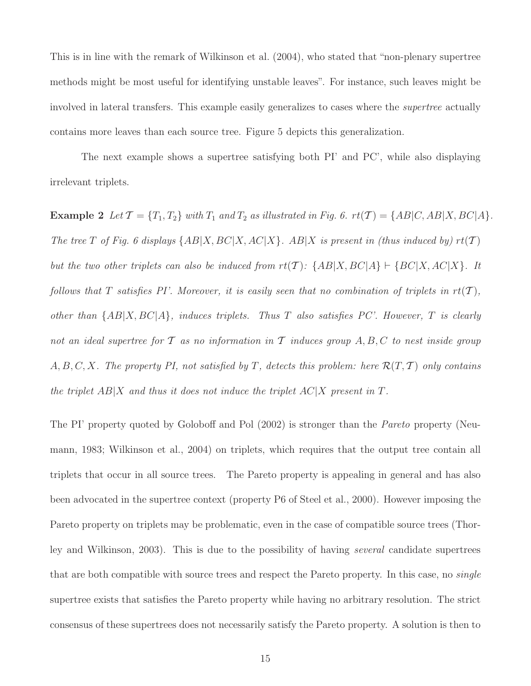This is in line with the remark of Wilkinson et al. (2004), who stated that "non-plenary supertree methods might be most useful for identifying unstable leaves". For instance, such leaves might be involved in lateral transfers. This example easily generalizes to cases where the supertree actually contains more leaves than each source tree. Figure 5 depicts this generalization.

The next example shows a supertree satisfying both PI' and PC', while also displaying irrelevant triplets.

**Example 2** Let  $\mathcal{T} = \{T_1, T_2\}$  with  $T_1$  and  $T_2$  as illustrated in Fig. 6.  $rt(\mathcal{T}) = \{AB|C, AB|X, BC|A\}.$ The tree T of Fig. 6 displays  $\{AB|X, BC|X, AC|X\}$ . AB X is present in (thus induced by)  $rt(\mathcal{T})$ but the two other triplets can also be induced from  $rt(T)$ :  $\{AB|X, BC|A\} \vdash \{BC|X, AC|X\}$ . It follows that T satisfies PI'. Moreover, it is easily seen that no combination of triplets in  $rt(T)$ , other than  $\{AB|X, BC|A\}$ , induces triplets. Thus T also satisfies PC'. However, T is clearly not an ideal supertree for  $\mathcal T$  as no information in  $\mathcal T$  induces group  $A, B, C$  to nest inside group  $A, B, C, X$ . The property PI, not satisfied by T, detects this problem: here  $\mathcal{R}(T, \mathcal{T})$  only contains the triplet  $AB|X$  and thus it does not induce the triplet  $AC|X$  present in T.

The PI' property quoted by Goloboff and Pol (2002) is stronger than the *Pareto* property (Neumann, 1983; Wilkinson et al., 2004) on triplets, which requires that the output tree contain all triplets that occur in all source trees. The Pareto property is appealing in general and has also been advocated in the supertree context (property P6 of Steel et al., 2000). However imposing the Pareto property on triplets may be problematic, even in the case of compatible source trees (Thorley and Wilkinson, 2003). This is due to the possibility of having several candidate supertrees that are both compatible with source trees and respect the Pareto property. In this case, no *single* supertree exists that satisfies the Pareto property while having no arbitrary resolution. The strict consensus of these supertrees does not necessarily satisfy the Pareto property. A solution is then to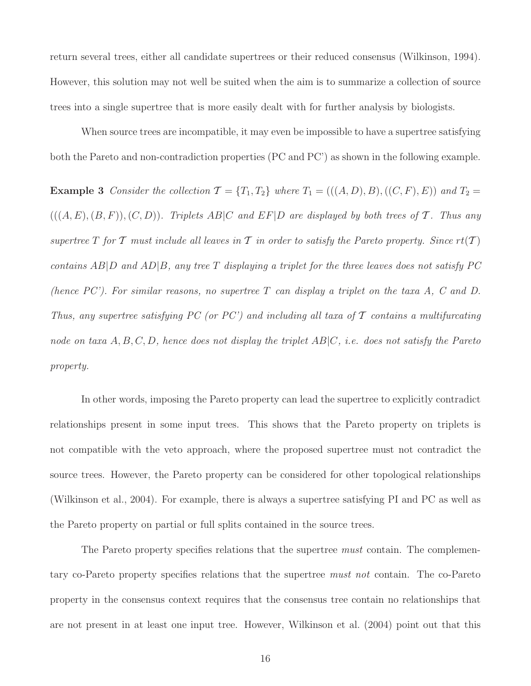return several trees, either all candidate supertrees or their reduced consensus (Wilkinson, 1994). However, this solution may not well be suited when the aim is to summarize a collection of source trees into a single supertree that is more easily dealt with for further analysis by biologists.

When source trees are incompatible, it may even be impossible to have a supertree satisfying both the Pareto and non-contradiction properties (PC and PC') as shown in the following example.

**Example 3** Consider the collection  $\mathcal{T} = \{T_1, T_2\}$  where  $T_1 = (((A, D), B), ((C, F), E))$  and  $T_2 =$  $(((A, E), (B, F)), (C, D))$ . Triplets AB|C and EF|D are displayed by both trees of T. Thus any supertree T for T must include all leaves in T in order to satisfy the Pareto property. Since  $rt(T)$ contains  $AB|D$  and  $AD|B$ , any tree T displaying a triplet for the three leaves does not satisfy PC (hence  $PC'$ ). For similar reasons, no supertree T can display a triplet on the taxa A, C and D. Thus, any supertree satisfying PC (or PC') and including all taxa of  $\mathcal T$  contains a multifurcating node on taxa  $A, B, C, D$ , hence does not display the triplet  $AB|C$ , i.e. does not satisfy the Pareto property.

In other words, imposing the Pareto property can lead the supertree to explicitly contradict relationships present in some input trees. This shows that the Pareto property on triplets is not compatible with the veto approach, where the proposed supertree must not contradict the source trees. However, the Pareto property can be considered for other topological relationships (Wilkinson et al., 2004). For example, there is always a supertree satisfying PI and PC as well as the Pareto property on partial or full splits contained in the source trees.

The Pareto property specifies relations that the supertree *must* contain. The complementary co-Pareto property specifies relations that the supertree must not contain. The co-Pareto property in the consensus context requires that the consensus tree contain no relationships that are not present in at least one input tree. However, Wilkinson et al. (2004) point out that this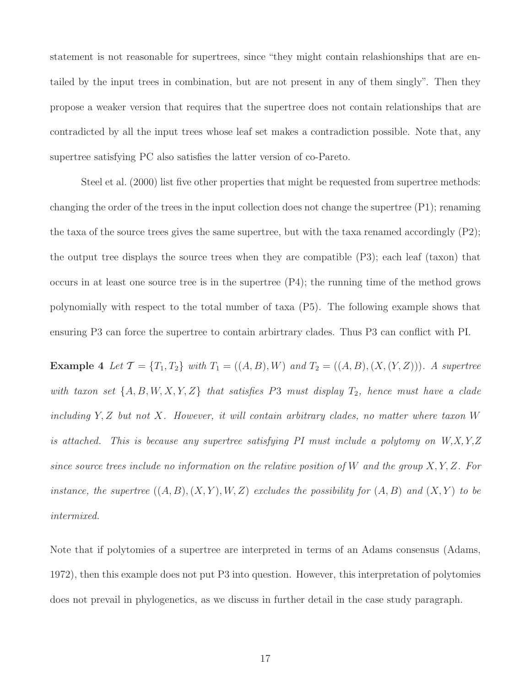statement is not reasonable for supertrees, since "they might contain relashionships that are entailed by the input trees in combination, but are not present in any of them singly". Then they propose a weaker version that requires that the supertree does not contain relationships that are contradicted by all the input trees whose leaf set makes a contradiction possible. Note that, any supertree satisfying PC also satisfies the latter version of co-Pareto.

Steel et al. (2000) list five other properties that might be requested from supertree methods: changing the order of the trees in the input collection does not change the supertree (P1); renaming the taxa of the source trees gives the same supertree, but with the taxa renamed accordingly  $(P2)$ ; the output tree displays the source trees when they are compatible (P3); each leaf (taxon) that occurs in at least one source tree is in the supertree (P4); the running time of the method grows polynomially with respect to the total number of taxa (P5). The following example shows that ensuring P3 can force the supertree to contain arbirtrary clades. Thus P3 can conflict with PI.

**Example 4** Let  $\mathcal{T} = \{T_1, T_2\}$  with  $T_1 = ((A, B), W)$  and  $T_2 = ((A, B), (X, (Y, Z)))$ . A supertree with taxon set  $\{A, B, W, X, Y, Z\}$  that satisfies P3 must display  $T_2$ , hence must have a clade including  $Y, Z$  but not  $X$ . However, it will contain arbitrary clades, no matter where taxon  $W$ is attached. This is because any supertree satisfying PI must include a polytomy on  $W, X, Y, Z$ since source trees include no information on the relative position of W and the group  $X, Y, Z$ . For instance, the supertree  $((A, B), (X, Y), W, Z)$  excludes the possibility for  $(A, B)$  and  $(X, Y)$  to be intermixed.

Note that if polytomies of a supertree are interpreted in terms of an Adams consensus (Adams, 1972), then this example does not put P3 into question. However, this interpretation of polytomies does not prevail in phylogenetics, as we discuss in further detail in the case study paragraph.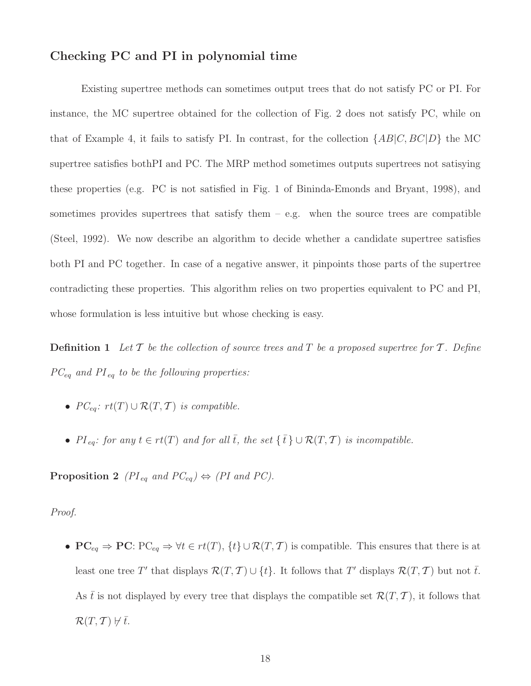# Checking PC and PI in polynomial time

Existing supertree methods can sometimes output trees that do not satisfy PC or PI. For instance, the MC supertree obtained for the collection of Fig. 2 does not satisfy PC, while on that of Example 4, it fails to satisfy PI. In contrast, for the collection  $\{AB|C, BC|D\}$  the MC supertree satisfies bothPI and PC. The MRP method sometimes outputs supertrees not satisying these properties (e.g. PC is not satisfied in Fig. 1 of Bininda-Emonds and Bryant, 1998), and sometimes provides supertrees that satisfy them  $-$  e.g. when the source trees are compatible (Steel, 1992). We now describe an algorithm to decide whether a candidate supertree satisfies both PI and PC together. In case of a negative answer, it pinpoints those parts of the supertree contradicting these properties. This algorithm relies on two properties equivalent to PC and PI, whose formulation is less intuitive but whose checking is easy.

**Definition 1** Let  $\mathcal T$  be the collection of source trees and  $T$  be a proposed supertree for  $\mathcal T$ . Define  $PC_{eq}$  and  $PI_{eq}$  to be the following properties:

- $PC_{eq}: rt(T) \cup \mathcal{R}(T, T)$  is compatible.
- PI<sub>eq</sub>: for any  $t \in rt(T)$  and for all  $\overline{t}$ , the set  $\{\overline{t}\} \cup \mathcal{R}(T,T)$  is incompatible.

**Proposition 2** ( $PI_{eq}$  and  $PC_{eq}$ )  $\Leftrightarrow$  (PI and PC).

#### Proof.

•  $PC_{eq} \Rightarrow PC: PC_{eq} \Rightarrow \forall t \in rt(T), \{t\} \cup \mathcal{R}(T, T)$  is compatible. This ensures that there is at least one tree T' that displays  $\mathcal{R}(T, \mathcal{T}) \cup \{t\}$ . It follows that T' displays  $\mathcal{R}(T, \mathcal{T})$  but not  $\overline{t}$ . As t is not displayed by every tree that displays the compatible set  $\mathcal{R}(T, \mathcal{T})$ , it follows that  $\mathcal{R}(T, \mathcal{T}) \not\vdash \bar{t}.$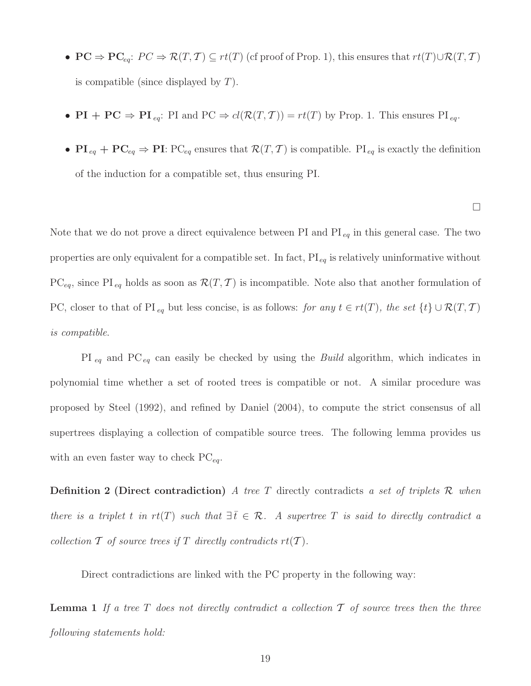- $PC \Rightarrow PC_{eq}: PC \Rightarrow \mathcal{R}(T, T) \subseteq rt(T)$  (cf proof of Prop. 1), this ensures that  $rt(T) \cup \mathcal{R}(T, T)$ is compatible (since displayed by  $T$ ).
- PI + PC  $\Rightarrow$  PI  $_{eq}$ : PI and PC  $\Rightarrow$   $cl(\mathcal{R}(T, T)) = rt(T)$  by Prop. 1. This ensures PI  $_{eq}$ .
- $\mathbf{PI}_{eq} + \mathbf{PC}_{eq} \Rightarrow \mathbf{PI}$ :  $\mathbf{PC}_{eq}$  ensures that  $\mathcal{R}(T, \mathcal{T})$  is compatible.  $\mathbf{PI}_{eq}$  is exactly the definition of the induction for a compatible set, thus ensuring PI.

 $\Box$ 

Note that we do not prove a direct equivalence between PI and  $PI_{eq}$  in this general case. The two properties are only equivalent for a compatible set. In fact,  $\text{PI}_{eq}$  is relatively uninformative without PC<sub>eq</sub>, since PI<sub>eq</sub> holds as soon as  $\mathcal{R}(T, \mathcal{T})$  is incompatible. Note also that another formulation of PC, closer to that of PI<sub>eq</sub> but less concise, is as follows: for any  $t \in rt(T)$ , the set  $\{t\} \cup \mathcal{R}(T,T)$ is compatible.

PI  $_{eq}$  and PC<sub>eq</sub> can easily be checked by using the *Build* algorithm, which indicates in polynomial time whether a set of rooted trees is compatible or not. A similar procedure was proposed by Steel (1992), and refined by Daniel (2004), to compute the strict consensus of all supertrees displaying a collection of compatible source trees. The following lemma provides us with an even faster way to check  $PC_{ea}$ .

**Definition 2 (Direct contradiction)** A tree T directly contradicts a set of triplets  $\mathcal{R}$  when there is a triplet t in rt(T) such that  $\exists \bar{t} \in \mathcal{R}$ . A supertree T is said to directly contradict a collection  $\mathcal T$  of source trees if  $T$  directly contradicts  $rt(\mathcal T)$ .

Direct contradictions are linked with the PC property in the following way:

**Lemma 1** If a tree  $T$  does not directly contradict a collection  $T$  of source trees then the three following statements hold: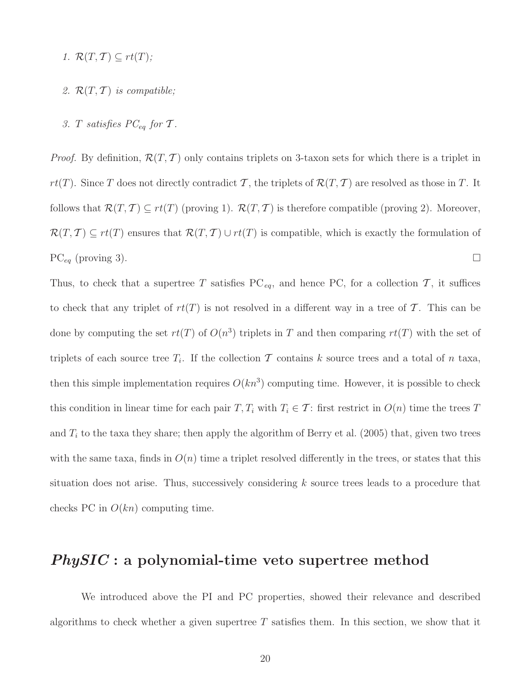- 1.  $\mathcal{R}(T, \mathcal{T}) \subseteq rt(T);$
- 2.  $\mathcal{R}(T, T)$  is compatible;
- 3. T satisfies  $PC_{eq}$  for T.

*Proof.* By definition,  $\mathcal{R}(T, \mathcal{T})$  only contains triplets on 3-taxon sets for which there is a triplet in  $rt(T)$ . Since T does not directly contradict T, the triplets of  $\mathcal{R}(T, T)$  are resolved as those in T. It follows that  $\mathcal{R}(T, \mathcal{T}) \subseteq rt(T)$  (proving 1).  $\mathcal{R}(T, \mathcal{T})$  is therefore compatible (proving 2). Moreover,  $\mathcal{R}(T, \mathcal{T}) \subseteq rt(T)$  ensures that  $\mathcal{R}(T, \mathcal{T}) \cup rt(T)$  is compatible, which is exactly the formulation of  $PC_{eq}$  (proving 3).

Thus, to check that a supertree T satisfies  $PC_{eq}$ , and hence PC, for a collection T, it suffices to check that any triplet of  $rt(T)$  is not resolved in a different way in a tree of T. This can be done by computing the set  $rt(T)$  of  $O(n^3)$  triplets in T and then comparing  $rt(T)$  with the set of triplets of each source tree  $T_i$ . If the collection  $\mathcal T$  contains k source trees and a total of n taxa, then this simple implementation requires  $O(kn^3)$  computing time. However, it is possible to check this condition in linear time for each pair  $T, T_i$  with  $T_i \in \mathcal{T}$ : first restrict in  $O(n)$  time the trees T and  $T_i$  to the taxa they share; then apply the algorithm of Berry et al. (2005) that, given two trees with the same taxa, finds in  $O(n)$  time a triplet resolved differently in the trees, or states that this situation does not arise. Thus, successively considering  $k$  source trees leads to a procedure that checks PC in  $O(kn)$  computing time.

# PhySIC : a polynomial-time veto supertree method

We introduced above the PI and PC properties, showed their relevance and described algorithms to check whether a given supertree  $T$  satisfies them. In this section, we show that it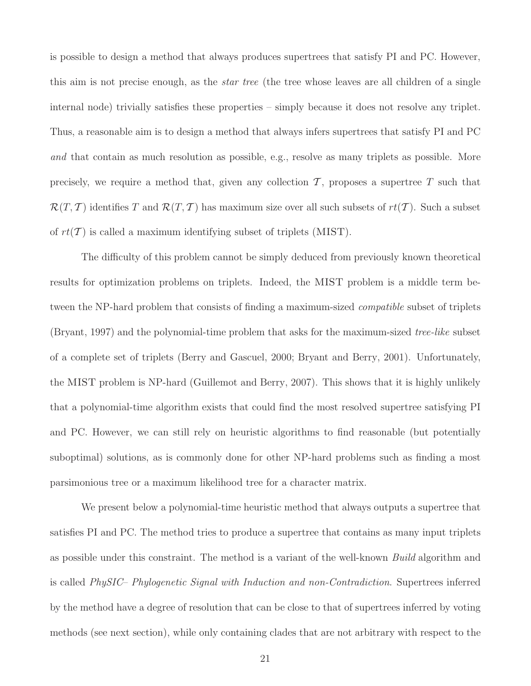is possible to design a method that always produces supertrees that satisfy PI and PC. However, this aim is not precise enough, as the *star tree* (the tree whose leaves are all children of a single internal node) trivially satisfies these properties – simply because it does not resolve any triplet. Thus, a reasonable aim is to design a method that always infers supertrees that satisfy PI and PC and that contain as much resolution as possible, e.g., resolve as many triplets as possible. More precisely, we require a method that, given any collection  $\mathcal T$ , proposes a supertree  $T$  such that  $\mathcal{R}(T, T)$  identifies T and  $\mathcal{R}(T, T)$  has maximum size over all such subsets of  $rt(T)$ . Such a subset of  $rt(\mathcal{T})$  is called a maximum identifying subset of triplets (MIST).

The difficulty of this problem cannot be simply deduced from previously known theoretical results for optimization problems on triplets. Indeed, the MIST problem is a middle term between the NP-hard problem that consists of finding a maximum-sized *compatible* subset of triplets (Bryant, 1997) and the polynomial-time problem that asks for the maximum-sized tree-like subset of a complete set of triplets (Berry and Gascuel, 2000; Bryant and Berry, 2001). Unfortunately, the MIST problem is NP-hard (Guillemot and Berry, 2007). This shows that it is highly unlikely that a polynomial-time algorithm exists that could find the most resolved supertree satisfying PI and PC. However, we can still rely on heuristic algorithms to find reasonable (but potentially suboptimal) solutions, as is commonly done for other NP-hard problems such as finding a most parsimonious tree or a maximum likelihood tree for a character matrix.

We present below a polynomial-time heuristic method that always outputs a supertree that satisfies PI and PC. The method tries to produce a supertree that contains as many input triplets as possible under this constraint. The method is a variant of the well-known Build algorithm and is called PhySIC– Phylogenetic Signal with Induction and non-Contradiction. Supertrees inferred by the method have a degree of resolution that can be close to that of supertrees inferred by voting methods (see next section), while only containing clades that are not arbitrary with respect to the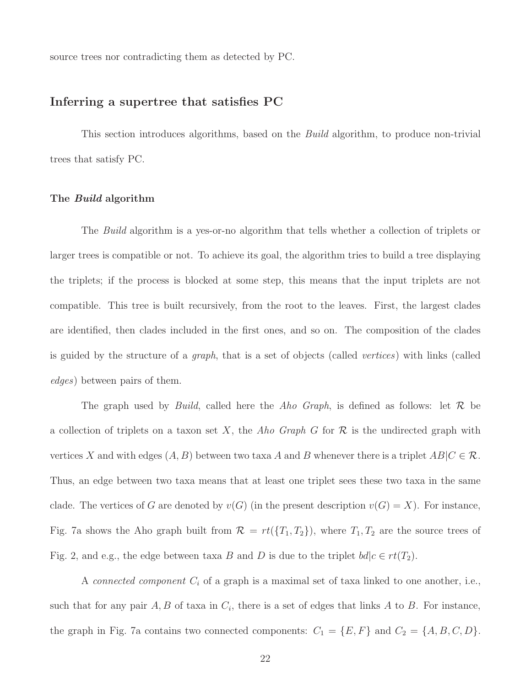source trees nor contradicting them as detected by PC.

### Inferring a supertree that satisfies PC

This section introduces algorithms, based on the *Build* algorithm, to produce non-trivial trees that satisfy PC.

#### The Build algorithm

The Build algorithm is a yes-or-no algorithm that tells whether a collection of triplets or larger trees is compatible or not. To achieve its goal, the algorithm tries to build a tree displaying the triplets; if the process is blocked at some step, this means that the input triplets are not compatible. This tree is built recursively, from the root to the leaves. First, the largest clades are identified, then clades included in the first ones, and so on. The composition of the clades is guided by the structure of a graph, that is a set of objects (called vertices) with links (called edges) between pairs of them.

The graph used by *Build*, called here the *Aho Graph*, is defined as follows: let  $\mathcal{R}$  be a collection of triplets on a taxon set X, the Aho Graph G for  $\mathcal R$  is the undirected graph with vertices X and with edges  $(A, B)$  between two taxa A and B whenever there is a triplet  $AB|C \in \mathcal{R}$ . Thus, an edge between two taxa means that at least one triplet sees these two taxa in the same clade. The vertices of G are denoted by  $v(G)$  (in the present description  $v(G) = X$ ). For instance, Fig. 7a shows the Aho graph built from  $\mathcal{R} = rt(\lbrace T_1, T_2 \rbrace)$ , where  $T_1, T_2$  are the source trees of Fig. 2, and e.g., the edge between taxa B and D is due to the triplet  $bd|c \in rt(T_2)$ .

A *connected component*  $C_i$  of a graph is a maximal set of taxa linked to one another, i.e., such that for any pair  $A, B$  of taxa in  $C_i$ , there is a set of edges that links A to B. For instance, the graph in Fig. 7a contains two connected components:  $C_1 = \{E, F\}$  and  $C_2 = \{A, B, C, D\}$ .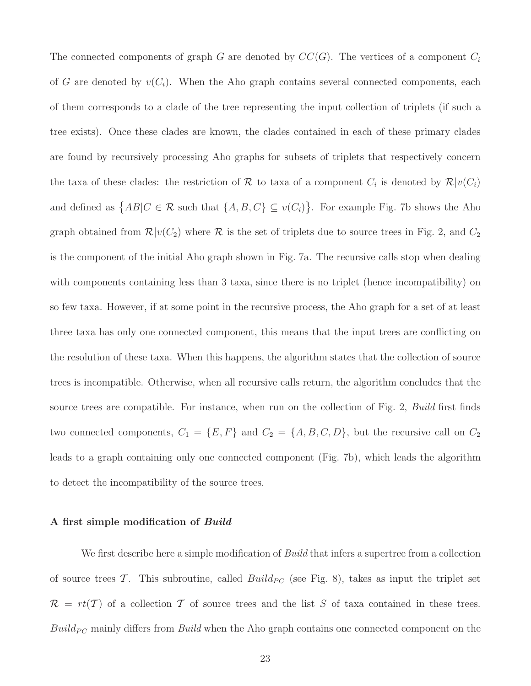The connected components of graph G are denoted by  $CC(G)$ . The vertices of a component  $C_i$ of G are denoted by  $v(C_i)$ . When the Aho graph contains several connected components, each of them corresponds to a clade of the tree representing the input collection of triplets (if such a tree exists). Once these clades are known, the clades contained in each of these primary clades are found by recursively processing Aho graphs for subsets of triplets that respectively concern the taxa of these clades: the restriction of R to taxa of a component  $C_i$  is denoted by  $\mathcal{R}|v(C_i)\rangle$ and defined as  $\{AB|C \in \mathcal{R} \text{ such that } \{A, B, C\} \subseteq v(C_i)\}\.$  For example Fig. 7b shows the Aho graph obtained from  $\mathcal{R}|v(C_2)$  where  $\mathcal R$  is the set of triplets due to source trees in Fig. 2, and  $C_2$ is the component of the initial Aho graph shown in Fig. 7a. The recursive calls stop when dealing with components containing less than 3 taxa, since there is no triplet (hence incompatibility) on so few taxa. However, if at some point in the recursive process, the Aho graph for a set of at least three taxa has only one connected component, this means that the input trees are conflicting on the resolution of these taxa. When this happens, the algorithm states that the collection of source trees is incompatible. Otherwise, when all recursive calls return, the algorithm concludes that the source trees are compatible. For instance, when run on the collection of Fig. 2, Build first finds two connected components,  $C_1 = \{E, F\}$  and  $C_2 = \{A, B, C, D\}$ , but the recursive call on  $C_2$ leads to a graph containing only one connected component (Fig. 7b), which leads the algorithm to detect the incompatibility of the source trees.

#### A first simple modification of Build

We first describe here a simple modification of *Build* that infers a supertree from a collection of source trees  $\mathcal{T}$ . This subroutine, called  $Build_{PC}$  (see Fig. 8), takes as input the triplet set  $\mathcal{R} = rt(\mathcal{T})$  of a collection  $\mathcal T$  of source trees and the list S of taxa contained in these trees.  $Build_{PC}$  mainly differs from *Build* when the Aho graph contains one connected component on the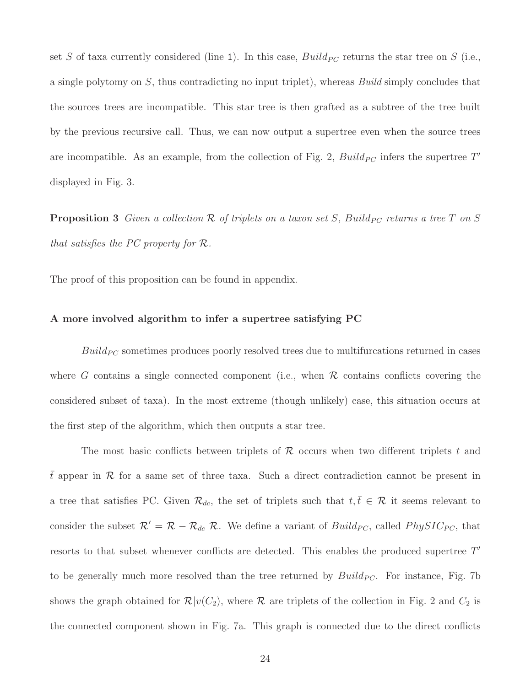set S of taxa currently considered (line 1). In this case,  $Build_{PC}$  returns the star tree on S (i.e., a single polytomy on  $S$ , thus contradicting no input triplet), whereas *Build* simply concludes that the sources trees are incompatible. This star tree is then grafted as a subtree of the tree built by the previous recursive call. Thus, we can now output a supertree even when the source trees are incompatible. As an example, from the collection of Fig. 2,  $Build_{PC}$  infers the supertree  $T'$ displayed in Fig. 3.

**Proposition 3** Given a collection  $\mathcal R$  of triplets on a taxon set S, Build<sub>PC</sub> returns a tree T on S that satisfies the PC property for  $\mathcal{R}$ .

The proof of this proposition can be found in appendix.

#### A more involved algorithm to infer a supertree satisfying PC

 $Build_{PC}$  sometimes produces poorly resolved trees due to multifurcations returned in cases where G contains a single connected component (i.e., when  $R$  contains conflicts covering the considered subset of taxa). In the most extreme (though unlikely) case, this situation occurs at the first step of the algorithm, which then outputs a star tree.

The most basic conflicts between triplets of  $\mathcal R$  occurs when two different triplets t and  $\bar{t}$  appear in  $\mathcal R$  for a same set of three taxa. Such a direct contradiction cannot be present in a tree that satisfies PC. Given  $\mathcal{R}_{dc}$ , the set of triplets such that  $t, \bar{t} \in \mathcal{R}$  it seems relevant to consider the subset  $\mathcal{R}' = \mathcal{R} - \mathcal{R}_{dc} \mathcal{R}$ . We define a variant of  $Build_{PC}$ , called  $PhysIC_{PC}$ , that resorts to that subset whenever conflicts are detected. This enables the produced supertree  $T'$ to be generally much more resolved than the tree returned by  $Build_{PC}$ . For instance, Fig. 7b shows the graph obtained for  $\mathcal{R}|v(C_2)$ , where  $\mathcal R$  are triplets of the collection in Fig. 2 and  $C_2$  is the connected component shown in Fig. 7a. This graph is connected due to the direct conflicts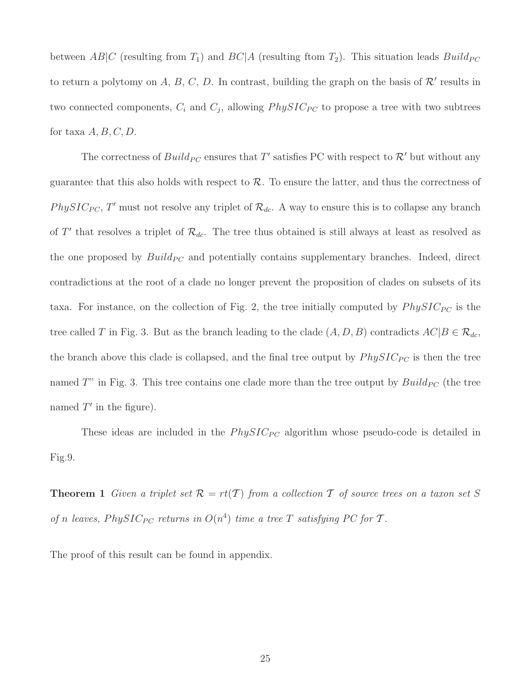between AB|C (resulting from  $T_1$ ) and  $BC|A$  (resulting ftom  $T_2$ ). This situation leads  $Build_{PC}$ to return a polytomy on A, B, C, D. In contrast, building the graph on the basis of  $\mathcal{R}'$  results in two connected components,  $C_i$  and  $C_j$ , allowing  $PhysIC_{PC}$  to propose a tree with two subtrees for taxa  $A, B, C, D$ .

The correctness of  $Build_{PC}$  ensures that T' satisfies PC with respect to  $\mathcal{R}'$  but without any guarantee that this also holds with respect to  $\mathcal{R}$ . To ensure the latter, and thus the correctness of PhySIC<sub>PC</sub>, T' must not resolve any triplet of  $\mathcal{R}_{dc}$ . A way to ensure this is to collapse any branch of T' that resolves a triplet of  $\mathcal{R}_{dc}$ . The tree thus obtained is still always at least as resolved as the one proposed by  $Build_{PC}$  and potentially contains supplementary branches. Indeed, direct contradictions at the root of a clade no longer prevent the proposition of clades on subsets of its taxa. For instance, on the collection of Fig. 2, the tree initially computed by  $PhysIC_{PC}$  is the tree called T in Fig. 3. But as the branch leading to the clade  $(A, D, B)$  contradicts  $AC|B \in \mathcal{R}_{dc}$ , the branch above this clade is collapsed, and the final tree output by  $PhysIC_{PC}$  is then the tree named  $T^{\prime\prime}$  in Fig. 3. This tree contains one clade more than the tree output by  $Build_{PC}$  (the tree named  $T'$  in the figure).

These ideas are included in the  $PhysIC_{PC}$  algorithm whose pseudo-code is detailed in Fig.9.

**Theorem 1** Given a triplet set  $\mathcal{R} = rt(\mathcal{T})$  from a collection  $\mathcal{T}$  of source trees on a taxon set S of n leaves, PhySIC<sub>PC</sub> returns in  $O(n^4)$  time a tree T satisfying PC for T.

The proof of this result can be found in appendix.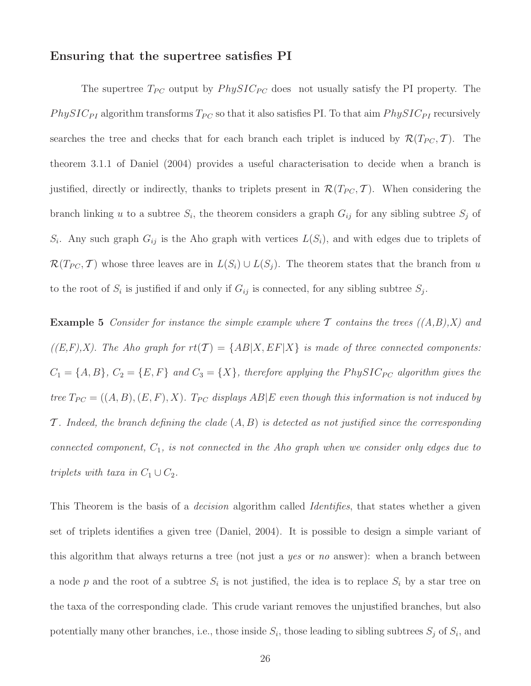### Ensuring that the supertree satisfies PI

The supertree  $T_{PC}$  output by  $PhysIC_{PC}$  does not usually satisfy the PI property. The PhySIC<sub>PI</sub> algorithm transforms  $T_{PC}$  so that it also satisfies PI. To that aim  $PhysIC_{PI}$  recursively searches the tree and checks that for each branch each triplet is induced by  $\mathcal{R}(T_{PC}, \mathcal{T})$ . The theorem 3.1.1 of Daniel (2004) provides a useful characterisation to decide when a branch is justified, directly or indirectly, thanks to triplets present in  $\mathcal{R}(T_{PC}, \mathcal{T})$ . When considering the branch linking u to a subtree  $S_i$ , the theorem considers a graph  $G_{ij}$  for any sibling subtree  $S_j$  of  $S_i$ . Any such graph  $G_{ij}$  is the Aho graph with vertices  $L(S_i)$ , and with edges due to triplets of  $\mathcal{R}(T_{PC}, \mathcal{T})$  whose three leaves are in  $L(S_i) \cup L(S_j)$ . The theorem states that the branch from u to the root of  $S_i$  is justified if and only if  $G_{ij}$  is connected, for any sibling subtree  $S_j$ .

**Example 5** Consider for instance the simple example where T contains the trees  $((A,B),X)$  and  $((E, F), X)$ . The Aho graph for  $rt(\mathcal{T}) = \{AB|X, EF|X\}$  is made of three connected components:  $C_1 = \{A, B\}$ ,  $C_2 = \{E, F\}$  and  $C_3 = \{X\}$ , therefore applying the PhySIC<sub>PC</sub> algorithm gives the tree  $T_{PC}$  = ((A, B), (E, F), X).  $T_{PC}$  displays AB|E even though this information is not induced by  $\mathcal T$ . Indeed, the branch defining the clade  $(A, B)$  is detected as not justified since the corresponding connected component,  $C_1$ , is not connected in the Aho graph when we consider only edges due to triplets with taxa in  $C_1 \cup C_2$ .

This Theorem is the basis of a *decision* algorithm called *Identifies*, that states whether a given set of triplets identifies a given tree (Daniel, 2004). It is possible to design a simple variant of this algorithm that always returns a tree (not just a yes or no answer): when a branch between a node p and the root of a subtree  $S_i$  is not justified, the idea is to replace  $S_i$  by a star tree on the taxa of the corresponding clade. This crude variant removes the unjustified branches, but also potentially many other branches, i.e., those inside  $S_i$ , those leading to sibling subtrees  $S_j$  of  $S_i$ , and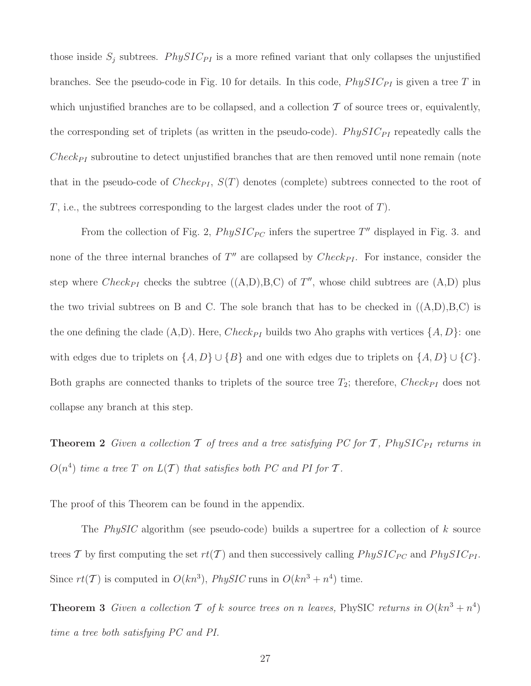those inside  $S_i$  subtrees. PhySIC<sub>PI</sub> is a more refined variant that only collapses the unjustified branches. See the pseudo-code in Fig. 10 for details. In this code,  $PhysIC_{PI}$  is given a tree T in which unjustified branches are to be collapsed, and a collection  $\mathcal T$  of source trees or, equivalently, the corresponding set of triplets (as written in the pseudo-code).  $PhysIC_{PI}$  repeatedly calls the  $Check_{PI}$  subroutine to detect unjustified branches that are then removed until none remain (note that in the pseudo-code of  $Check_{PI}$ ,  $S(T)$  denotes (complete) subtrees connected to the root of  $T$ , i.e., the subtrees corresponding to the largest clades under the root of  $T$ ).

From the collection of Fig. 2,  $PhysIC_{PC}$  infers the supertree  $T''$  displayed in Fig. 3. and none of the three internal branches of  $T''$  are collapsed by  $Check_{PI}$ . For instance, consider the step where  $Check_{PI}$  checks the subtree  $((A, D), B, C)$  of  $T''$ , whose child subtrees are  $(A, D)$  plus the two trivial subtrees on B and C. The sole branch that has to be checked in  $((A, D), B, C)$  is the one defining the clade  $(A, D)$ . Here,  $Check_{PI}$  builds two Aho graphs with vertices  $\{A, D\}$ : one with edges due to triplets on  $\{A, D\} \cup \{B\}$  and one with edges due to triplets on  $\{A, D\} \cup \{C\}$ . Both graphs are connected thanks to triplets of the source tree  $T_2$ ; therefore, Check<sub>PI</sub> does not collapse any branch at this step.

**Theorem 2** Given a collection  $\mathcal T$  of trees and a tree satisfying PC for  $\mathcal T$ , PhySIC<sub>PI</sub> returns in  $O(n^4)$  time a tree T on  $L(\mathcal{T})$  that satisfies both PC and PI for T.

The proof of this Theorem can be found in the appendix.

The PhySIC algorithm (see pseudo-code) builds a supertree for a collection of k source trees T by first computing the set  $rt(T)$  and then successively calling  $PhysIC_{PC}$  and  $PhysIC_{PI}$ . Since  $rt(\mathcal{T})$  is computed in  $O(kn^3)$ , PhySIC runs in  $O(kn^3 + n^4)$  time.

**Theorem 3** Given a collection  $\mathcal{T}$  of k source trees on n leaves, PhySIC returns in  $O(kn^3 + n^4)$ time a tree both satisfying PC and PI.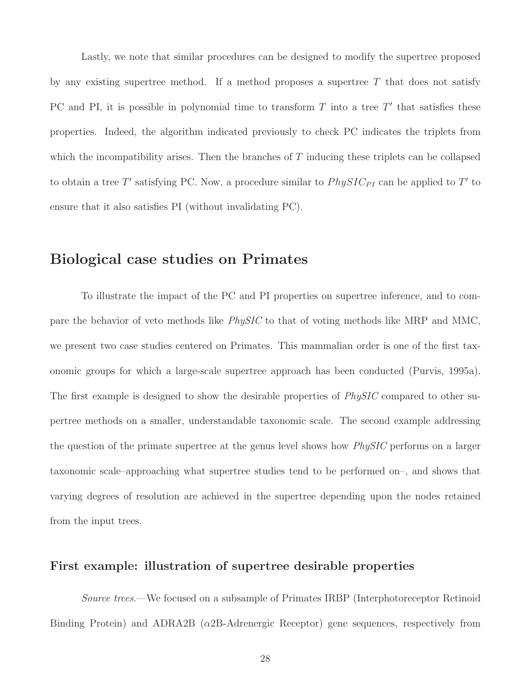Lastly, we note that similar procedures can be designed to modify the supertree proposed by any existing supertree method. If a method proposes a supertree  $T$  that does not satisfy PC and PI, it is possible in polynomial time to transform  $T$  into a tree  $T'$  that satisfies these properties. Indeed, the algorithm indicated previously to check PC indicates the triplets from which the incompatibility arises. Then the branches of  $T$  inducing these triplets can be collapsed to obtain a tree T' satisfying PC. Now, a procedure similar to  $PhysIC_{PI}$  can be applied to T' to ensure that it also satisfies PI (without invalidating PC).

# Biological case studies on Primates

To illustrate the impact of the PC and PI properties on supertree inference, and to compare the behavior of veto methods like PhySIC to that of voting methods like MRP and MMC, we present two case studies centered on Primates. This mammalian order is one of the first taxonomic groups for which a large-scale supertree approach has been conducted (Purvis, 1995a). The first example is designed to show the desirable properties of *PhySIC* compared to other supertree methods on a smaller, understandable taxonomic scale. The second example addressing the question of the primate supertree at the genus level shows how *PhySIC* performs on a larger taxonomic scale–approaching what supertree studies tend to be performed on–, and shows that varying degrees of resolution are achieved in the supertree depending upon the nodes retained from the input trees.

# First example: illustration of supertree desirable properties

Source trees.—We focused on a subsample of Primates IRBP (Interphotoreceptor Retinoid Binding Protein) and ADRA2B ( $\alpha$ 2B-Adrenergic Receptor) gene sequences, respectively from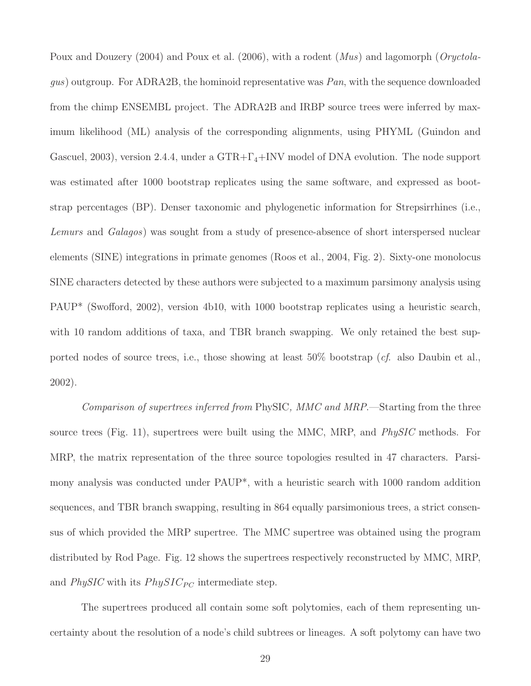Poux and Douzery (2004) and Poux et al. (2006), with a rodent (*Mus*) and lagomorph (*Oryctola*gus) outgroup. For ADRA2B, the hominoid representative was  $Pan$ , with the sequence downloaded from the chimp ENSEMBL project. The ADRA2B and IRBP source trees were inferred by maximum likelihood (ML) analysis of the corresponding alignments, using PHYML (Guindon and Gascuel, 2003), version 2.4.4, under a  $GTR + \Gamma_4 + INV$  model of DNA evolution. The node support was estimated after 1000 bootstrap replicates using the same software, and expressed as bootstrap percentages (BP). Denser taxonomic and phylogenetic information for Strepsirrhines (i.e., Lemurs and Galagos) was sought from a study of presence-absence of short interspersed nuclear elements (SINE) integrations in primate genomes (Roos et al., 2004, Fig. 2). Sixty-one monolocus SINE characters detected by these authors were subjected to a maximum parsimony analysis using PAUP\* (Swofford, 2002), version 4b10, with 1000 bootstrap replicates using a heuristic search, with 10 random additions of taxa, and TBR branch swapping. We only retained the best supported nodes of source trees, i.e., those showing at least 50% bootstrap (*cf.* also Daubin et al., 2002).

Comparison of supertrees inferred from PhySIC, MMC and MRP.—Starting from the three source trees (Fig. 11), supertrees were built using the MMC, MRP, and *PhySIC* methods. For MRP, the matrix representation of the three source topologies resulted in 47 characters. Parsimony analysis was conducted under PAUP\*, with a heuristic search with 1000 random addition sequences, and TBR branch swapping, resulting in 864 equally parsimonious trees, a strict consensus of which provided the MRP supertree. The MMC supertree was obtained using the program distributed by Rod Page. Fig. 12 shows the supertrees respectively reconstructed by MMC, MRP, and  $PhysIC$  with its  $PhysIC_{PC}$  intermediate step.

The supertrees produced all contain some soft polytomies, each of them representing uncertainty about the resolution of a node's child subtrees or lineages. A soft polytomy can have two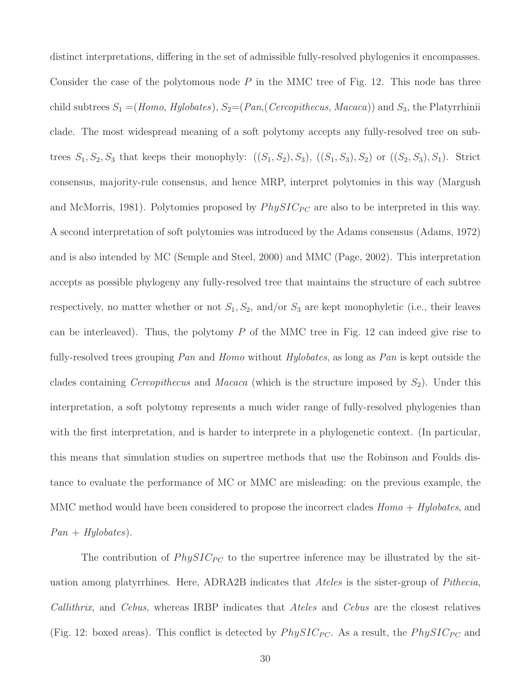distinct interpretations, differing in the set of admissible fully-resolved phylogenies it encompasses. Consider the case of the polytomous node  $P$  in the MMC tree of Fig. 12. This node has three child subtrees  $S_1 = (Hom_0, Hylobates), S_2 = (Pan, (Ceroophecus, Macaca))$  and  $S_3$ , the Platyrrhinii clade. The most widespread meaning of a soft polytomy accepts any fully-resolved tree on subtrees  $S_1, S_2, S_3$  that keeps their monophyly:  $((S_1, S_2), S_3), ((S_1, S_3), S_2)$  or  $((S_2, S_3), S_1)$ . Strict consensus, majority-rule consensus, and hence MRP, interpret polytomies in this way (Margush and McMorris, 1981). Polytomies proposed by  $PhysIC_{PC}$  are also to be interpreted in this way. A second interpretation of soft polytomies was introduced by the Adams consensus (Adams, 1972) and is also intended by MC (Semple and Steel, 2000) and MMC (Page, 2002). This interpretation accepts as possible phylogeny any fully-resolved tree that maintains the structure of each subtree respectively, no matter whether or not  $S_1, S_2$ , and/or  $S_3$  are kept monophyletic (i.e., their leaves can be interleaved). Thus, the polytomy  $P$  of the MMC tree in Fig. 12 can indeed give rise to fully-resolved trees grouping Pan and Homo without Hylobates, as long as Pan is kept outside the clades containing *Cercopithecus* and *Macaca* (which is the structure imposed by  $S_2$ ). Under this interpretation, a soft polytomy represents a much wider range of fully-resolved phylogenies than with the first interpretation, and is harder to interprete in a phylogenetic context. (In particular, this means that simulation studies on supertree methods that use the Robinson and Foulds distance to evaluate the performance of MC or MMC are misleading: on the previous example, the MMC method would have been considered to propose the incorrect clades  $Homo + Hylobates$ , and  $Pan + Hylobates$ ).

The contribution of  $PhysIC_{PC}$  to the supertree inference may be illustrated by the situation among platyrrhines. Here, ADRA2B indicates that Ateles is the sister-group of Pithecia, Callithrix, and Cebus, whereas IRBP indicates that Ateles and Cebus are the closest relatives (Fig. 12: boxed areas). This conflict is detected by  $PhysIC_{PC}$ . As a result, the  $PhysIC_{PC}$  and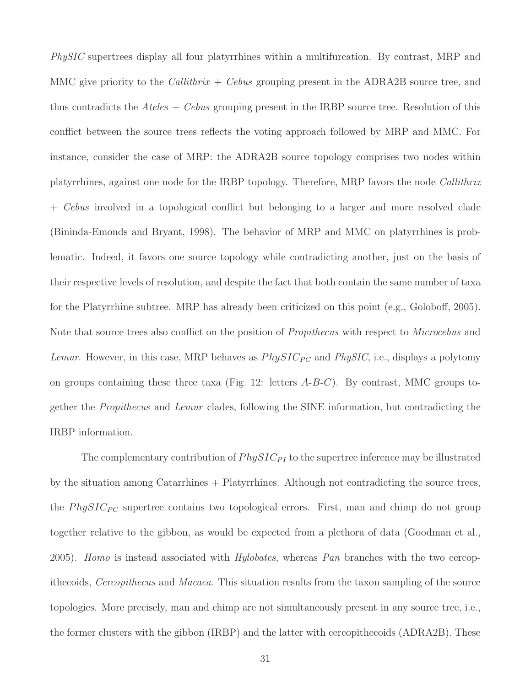PhySIC supertrees display all four platyrrhines within a multifurcation. By contrast, MRP and MMC give priority to the *Callithrix* + *Cebus* grouping present in the ADRA2B source tree, and thus contradicts the  $Ateles + Cebus$  grouping present in the IRBP source tree. Resolution of this conflict between the source trees reflects the voting approach followed by MRP and MMC. For instance, consider the case of MRP: the ADRA2B source topology comprises two nodes within platyrrhines, against one node for the IRBP topology. Therefore, MRP favors the node Callithrix + Cebus involved in a topological conflict but belonging to a larger and more resolved clade (Bininda-Emonds and Bryant, 1998). The behavior of MRP and MMC on platyrrhines is problematic. Indeed, it favors one source topology while contradicting another, just on the basis of their respective levels of resolution, and despite the fact that both contain the same number of taxa for the Platyrrhine subtree. MRP has already been criticized on this point (e.g., Goloboff, 2005). Note that source trees also conflict on the position of *Propithecus* with respect to *Microcebus* and Lemur. However, in this case, MRP behaves as  $PhysIC_{PC}$  and  $PhysIC$ , i.e., displays a polytomy on groups containing these three taxa (Fig. 12: letters  $A-B-C$ ). By contrast, MMC groups together the Propithecus and Lemur clades, following the SINE information, but contradicting the IRBP information.

The complementary contribution of  $PhysIC_{PI}$  to the supertree inference may be illustrated by the situation among Catarrhines + Platyrrhines. Although not contradicting the source trees, the  $PhysIC_{PC}$  supertree contains two topological errors. First, man and chimp do not group together relative to the gibbon, as would be expected from a plethora of data (Goodman et al., 2005). Homo is instead associated with Hylobates, whereas Pan branches with the two cercopithecoids, Cercopithecus and Macaca. This situation results from the taxon sampling of the source topologies. More precisely, man and chimp are not simultaneously present in any source tree, i.e., the former clusters with the gibbon (IRBP) and the latter with cercopithecoids (ADRA2B). These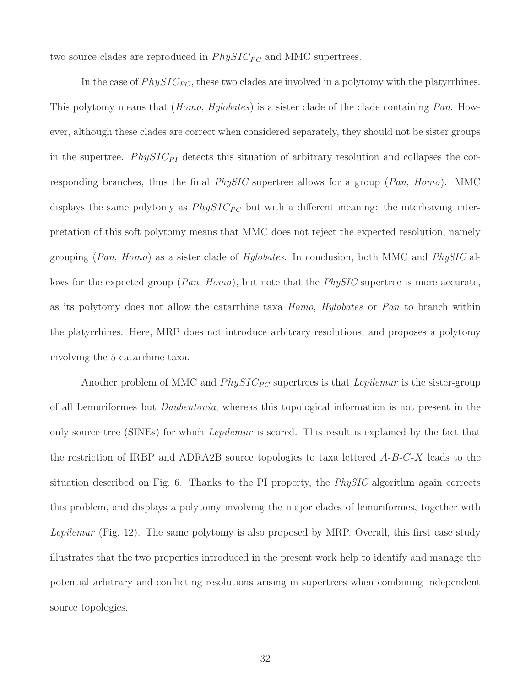two source clades are reproduced in  $PhysIC_{PC}$  and MMC supertrees.

In the case of  $PhysIC_{PC}$ , these two clades are involved in a polytomy with the platyrrhines. This polytomy means that *(Homo, Hylobates)* is a sister clade of the clade containing *Pan.* However, although these clades are correct when considered separately, they should not be sister groups in the supertree. PhySIC<sub>PI</sub> detects this situation of arbitrary resolution and collapses the corresponding branches, thus the final  $PhySIC$  supertree allows for a group ( $Pan, Homo$ ). MMC displays the same polytomy as  $PhysIC_{PC}$  but with a different meaning: the interleaving interpretation of this soft polytomy means that MMC does not reject the expected resolution, namely grouping (Pan, Homo) as a sister clade of Hylobates. In conclusion, both MMC and PhySIC allows for the expected group ( $Pan, Homo$ ), but note that the  $PhySIC$  supertree is more accurate, as its polytomy does not allow the catarrhine taxa Homo, Hylobates or Pan to branch within the platyrrhines. Here, MRP does not introduce arbitrary resolutions, and proposes a polytomy involving the 5 catarrhine taxa.

Another problem of MMC and  $PhysIC_{PC}$  supertrees is that *Lepilemur* is the sister-group of all Lemuriformes but Daubentonia, whereas this topological information is not present in the only source tree (SINEs) for which *Lepilemur* is scored. This result is explained by the fact that the restriction of IRBP and ADRA2B source topologies to taxa lettered  $A-B-C-X$  leads to the situation described on Fig. 6. Thanks to the PI property, the  $PhysIC$  algorithm again corrects this problem, and displays a polytomy involving the major clades of lemuriformes, together with Lepilemur (Fig. 12). The same polytomy is also proposed by MRP. Overall, this first case study illustrates that the two properties introduced in the present work help to identify and manage the potential arbitrary and conflicting resolutions arising in supertrees when combining independent source topologies.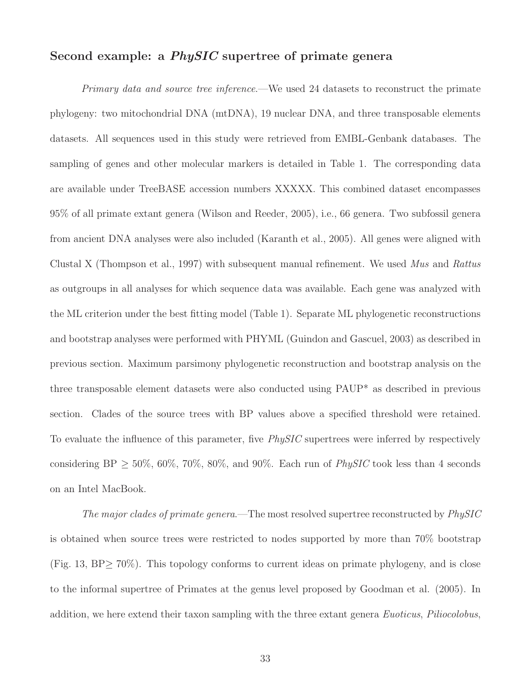# Second example: a *PhySIC* supertree of primate genera

Primary data and source tree inference.—We used 24 datasets to reconstruct the primate phylogeny: two mitochondrial DNA (mtDNA), 19 nuclear DNA, and three transposable elements datasets. All sequences used in this study were retrieved from EMBL-Genbank databases. The sampling of genes and other molecular markers is detailed in Table 1. The corresponding data are available under TreeBASE accession numbers XXXXX. This combined dataset encompasses 95% of all primate extant genera (Wilson and Reeder, 2005), i.e., 66 genera. Two subfossil genera from ancient DNA analyses were also included (Karanth et al., 2005). All genes were aligned with Clustal X (Thompson et al., 1997) with subsequent manual refinement. We used Mus and Rattus as outgroups in all analyses for which sequence data was available. Each gene was analyzed with the ML criterion under the best fitting model (Table 1). Separate ML phylogenetic reconstructions and bootstrap analyses were performed with PHYML (Guindon and Gascuel, 2003) as described in previous section. Maximum parsimony phylogenetic reconstruction and bootstrap analysis on the three transposable element datasets were also conducted using PAUP\* as described in previous section. Clades of the source trees with BP values above a specified threshold were retained. To evaluate the influence of this parameter, five *PhySIC* supertrees were inferred by respectively considering BP  $> 50\%$ ,  $60\%$ ,  $70\%$ ,  $80\%$ , and  $90\%$ . Each run of *PhySIC* took less than 4 seconds on an Intel MacBook.

The major clades of primate genera.—The most resolved supertree reconstructed by PhySIC is obtained when source trees were restricted to nodes supported by more than 70% bootstrap (Fig. 13, BP≥ 70%). This topology conforms to current ideas on primate phylogeny, and is close to the informal supertree of Primates at the genus level proposed by Goodman et al. (2005). In addition, we here extend their taxon sampling with the three extant genera Euoticus, Piliocolobus,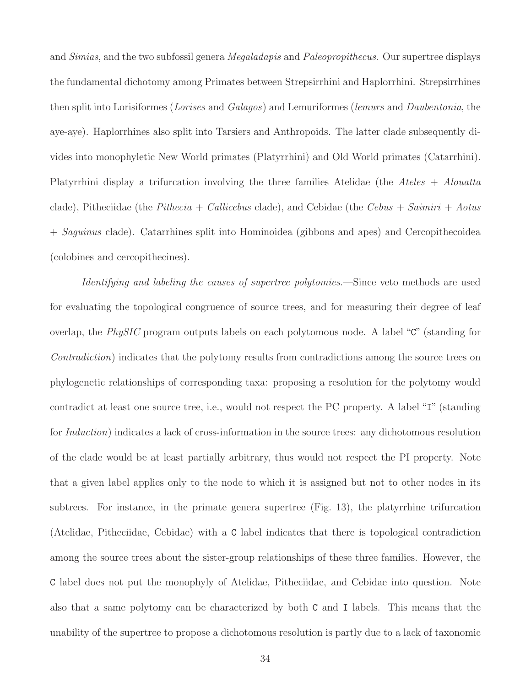and Simias, and the two subfossil genera Megaladapis and Paleopropithecus. Our supertree displays the fundamental dichotomy among Primates between Strepsirrhini and Haplorrhini. Strepsirrhines then split into Lorisiformes (Lorises and Galagos) and Lemuriformes (lemurs and Daubentonia, the aye-aye). Haplorrhines also split into Tarsiers and Anthropoids. The latter clade subsequently divides into monophyletic New World primates (Platyrrhini) and Old World primates (Catarrhini). Platyrrhini display a trifurcation involving the three families Atelidae (the Ateles  $+$  Alouatta clade), Pitheciidae (the *Pithecia + Callicebus* clade), and Cebidae (the *Cebus + Saimiri + Aotus* + Saguinus clade). Catarrhines split into Hominoidea (gibbons and apes) and Cercopithecoidea (colobines and cercopithecines).

Identifying and labeling the causes of supertree polytomies.—Since veto methods are used for evaluating the topological congruence of source trees, and for measuring their degree of leaf overlap, the PhySIC program outputs labels on each polytomous node. A label "C" (standing for Contradiction) indicates that the polytomy results from contradictions among the source trees on phylogenetic relationships of corresponding taxa: proposing a resolution for the polytomy would contradict at least one source tree, i.e., would not respect the PC property. A label "I" (standing for *Induction*) indicates a lack of cross-information in the source trees: any dichotomous resolution of the clade would be at least partially arbitrary, thus would not respect the PI property. Note that a given label applies only to the node to which it is assigned but not to other nodes in its subtrees. For instance, in the primate genera supertree (Fig. 13), the platyrrhine trifurcation (Atelidae, Pitheciidae, Cebidae) with a C label indicates that there is topological contradiction among the source trees about the sister-group relationships of these three families. However, the C label does not put the monophyly of Atelidae, Pitheciidae, and Cebidae into question. Note also that a same polytomy can be characterized by both C and I labels. This means that the unability of the supertree to propose a dichotomous resolution is partly due to a lack of taxonomic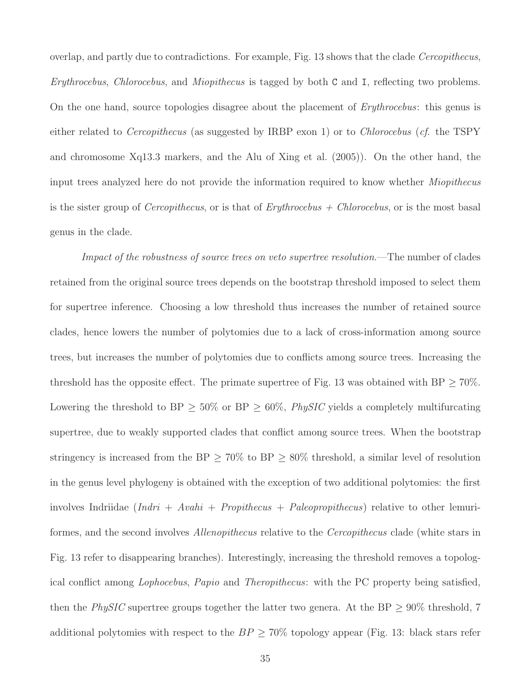overlap, and partly due to contradictions. For example, Fig. 13 shows that the clade Cercopithecus, Erythrocebus, Chlorocebus, and Miopithecus is tagged by both C and I, reflecting two problems. On the one hand, source topologies disagree about the placement of *Erythrocebus*: this genus is either related to *Cercopithecus* (as suggested by IRBP exon 1) or to *Chlorocebus* (*cf.* the TSPY and chromosome Xq13.3 markers, and the Alu of Xing et al. (2005)). On the other hand, the input trees analyzed here do not provide the information required to know whether Miopithecus is the sister group of *Cercopithecus*, or is that of  $Eryth rocebus + Chlorocebus$ , or is the most basal genus in the clade.

Impact of the robustness of source trees on veto supertree resolution.—The number of clades retained from the original source trees depends on the bootstrap threshold imposed to select them for supertree inference. Choosing a low threshold thus increases the number of retained source clades, hence lowers the number of polytomies due to a lack of cross-information among source trees, but increases the number of polytomies due to conflicts among source trees. Increasing the threshold has the opposite effect. The primate supertree of Fig. 13 was obtained with  $BP \geq 70\%$ . Lowering the threshold to BP  $\geq$  50% or BP  $\geq$  60%, *PhySIC* yields a completely multifurcating supertree, due to weakly supported clades that conflict among source trees. When the bootstrap stringency is increased from the BP  $\geq 70\%$  to BP  $\geq 80\%$  threshold, a similar level of resolution in the genus level phylogeny is obtained with the exception of two additional polytomies: the first involves Indriidae  $(Indri + Avahi + Propithecus + Paleopropithecus)$  relative to other lemuriformes, and the second involves Allenopithecus relative to the Cercopithecus clade (white stars in Fig. 13 refer to disappearing branches). Interestingly, increasing the threshold removes a topological conflict among Lophocebus, Papio and Theropithecus: with the PC property being satisfied, then the PhySIC supertree groups together the latter two genera. At the BP  $\geq 90\%$  threshold, 7 additional polytomies with respect to the  $BP \geq 70\%$  topology appear (Fig. 13: black stars refer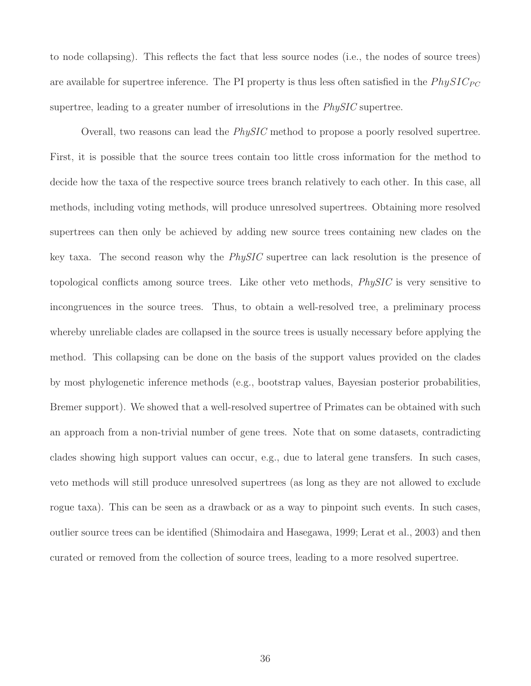to node collapsing). This reflects the fact that less source nodes (i.e., the nodes of source trees) are available for supertree inference. The PI property is thus less often satisfied in the  $PhysIC_{PC}$ supertree, leading to a greater number of irresolutions in the *PhySIC* supertree.

Overall, two reasons can lead the PhySIC method to propose a poorly resolved supertree. First, it is possible that the source trees contain too little cross information for the method to decide how the taxa of the respective source trees branch relatively to each other. In this case, all methods, including voting methods, will produce unresolved supertrees. Obtaining more resolved supertrees can then only be achieved by adding new source trees containing new clades on the key taxa. The second reason why the PhySIC supertree can lack resolution is the presence of topological conflicts among source trees. Like other veto methods, PhySIC is very sensitive to incongruences in the source trees. Thus, to obtain a well-resolved tree, a preliminary process whereby unreliable clades are collapsed in the source trees is usually necessary before applying the method. This collapsing can be done on the basis of the support values provided on the clades by most phylogenetic inference methods (e.g., bootstrap values, Bayesian posterior probabilities, Bremer support). We showed that a well-resolved supertree of Primates can be obtained with such an approach from a non-trivial number of gene trees. Note that on some datasets, contradicting clades showing high support values can occur, e.g., due to lateral gene transfers. In such cases, veto methods will still produce unresolved supertrees (as long as they are not allowed to exclude rogue taxa). This can be seen as a drawback or as a way to pinpoint such events. In such cases, outlier source trees can be identified (Shimodaira and Hasegawa, 1999; Lerat et al., 2003) and then curated or removed from the collection of source trees, leading to a more resolved supertree.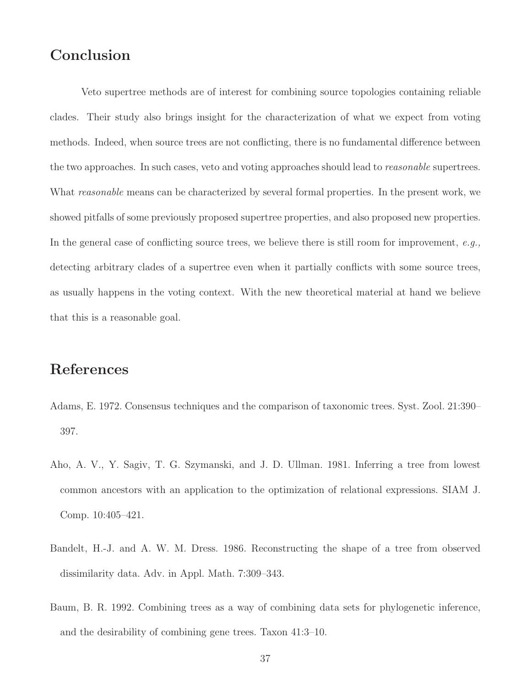# Conclusion

Veto supertree methods are of interest for combining source topologies containing reliable clades. Their study also brings insight for the characterization of what we expect from voting methods. Indeed, when source trees are not conflicting, there is no fundamental difference between the two approaches. In such cases, veto and voting approaches should lead to *reasonable* supertrees. What *reasonable* means can be characterized by several formal properties. In the present work, we showed pitfalls of some previously proposed supertree properties, and also proposed new properties. In the general case of conflicting source trees, we believe there is still room for improvement,  $e.g.,$ detecting arbitrary clades of a supertree even when it partially conflicts with some source trees, as usually happens in the voting context. With the new theoretical material at hand we believe that this is a reasonable goal.

# References

- Adams, E. 1972. Consensus techniques and the comparison of taxonomic trees. Syst. Zool. 21:390– 397.
- Aho, A. V., Y. Sagiv, T. G. Szymanski, and J. D. Ullman. 1981. Inferring a tree from lowest common ancestors with an application to the optimization of relational expressions. SIAM J. Comp. 10:405–421.
- Bandelt, H.-J. and A. W. M. Dress. 1986. Reconstructing the shape of a tree from observed dissimilarity data. Adv. in Appl. Math. 7:309–343.
- Baum, B. R. 1992. Combining trees as a way of combining data sets for phylogenetic inference, and the desirability of combining gene trees. Taxon 41:3–10.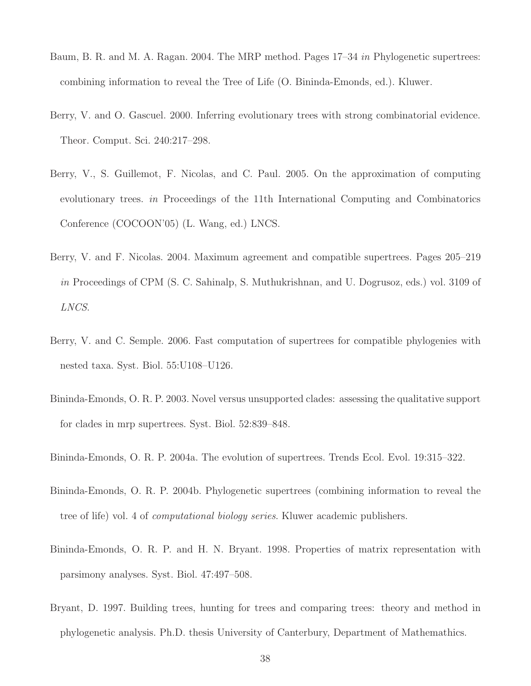- Baum, B. R. and M. A. Ragan. 2004. The MRP method. Pages 17–34 in Phylogenetic supertrees: combining information to reveal the Tree of Life (O. Bininda-Emonds, ed.). Kluwer.
- Berry, V. and O. Gascuel. 2000. Inferring evolutionary trees with strong combinatorial evidence. Theor. Comput. Sci. 240:217–298.
- Berry, V., S. Guillemot, F. Nicolas, and C. Paul. 2005. On the approximation of computing evolutionary trees. in Proceedings of the 11th International Computing and Combinatorics Conference (COCOON'05) (L. Wang, ed.) LNCS.
- Berry, V. and F. Nicolas. 2004. Maximum agreement and compatible supertrees. Pages 205–219 in Proceedings of CPM (S. C. Sahinalp, S. Muthukrishnan, and U. Dogrusoz, eds.) vol. 3109 of LNCS.
- Berry, V. and C. Semple. 2006. Fast computation of supertrees for compatible phylogenies with nested taxa. Syst. Biol. 55:U108–U126.
- Bininda-Emonds, O. R. P. 2003. Novel versus unsupported clades: assessing the qualitative support for clades in mrp supertrees. Syst. Biol. 52:839–848.

Bininda-Emonds, O. R. P. 2004a. The evolution of supertrees. Trends Ecol. Evol. 19:315–322.

- Bininda-Emonds, O. R. P. 2004b. Phylogenetic supertrees (combining information to reveal the tree of life) vol. 4 of computational biology series. Kluwer academic publishers.
- Bininda-Emonds, O. R. P. and H. N. Bryant. 1998. Properties of matrix representation with parsimony analyses. Syst. Biol. 47:497–508.
- Bryant, D. 1997. Building trees, hunting for trees and comparing trees: theory and method in phylogenetic analysis. Ph.D. thesis University of Canterbury, Department of Mathemathics.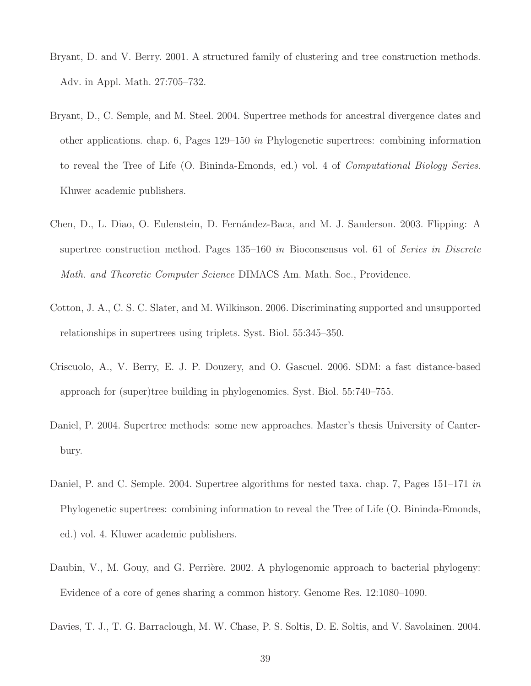- Bryant, D. and V. Berry. 2001. A structured family of clustering and tree construction methods. Adv. in Appl. Math. 27:705–732.
- Bryant, D., C. Semple, and M. Steel. 2004. Supertree methods for ancestral divergence dates and other applications. chap. 6, Pages 129–150 in Phylogenetic supertrees: combining information to reveal the Tree of Life (O. Bininda-Emonds, ed.) vol. 4 of Computational Biology Series. Kluwer academic publishers.
- Chen, D., L. Diao, O. Eulenstein, D. Fern´andez-Baca, and M. J. Sanderson. 2003. Flipping: A supertree construction method. Pages 135–160 in Bioconsensus vol. 61 of Series in Discrete Math. and Theoretic Computer Science DIMACS Am. Math. Soc., Providence.
- Cotton, J. A., C. S. C. Slater, and M. Wilkinson. 2006. Discriminating supported and unsupported relationships in supertrees using triplets. Syst. Biol. 55:345–350.
- Criscuolo, A., V. Berry, E. J. P. Douzery, and O. Gascuel. 2006. SDM: a fast distance-based approach for (super)tree building in phylogenomics. Syst. Biol. 55:740–755.
- Daniel, P. 2004. Supertree methods: some new approaches. Master's thesis University of Canterbury.
- Daniel, P. and C. Semple. 2004. Supertree algorithms for nested taxa. chap. 7, Pages 151–171 in Phylogenetic supertrees: combining information to reveal the Tree of Life (O. Bininda-Emonds, ed.) vol. 4. Kluwer academic publishers.
- Daubin, V., M. Gouy, and G. Perrière. 2002. A phylogenomic approach to bacterial phylogeny: Evidence of a core of genes sharing a common history. Genome Res. 12:1080–1090.
- Davies, T. J., T. G. Barraclough, M. W. Chase, P. S. Soltis, D. E. Soltis, and V. Savolainen. 2004.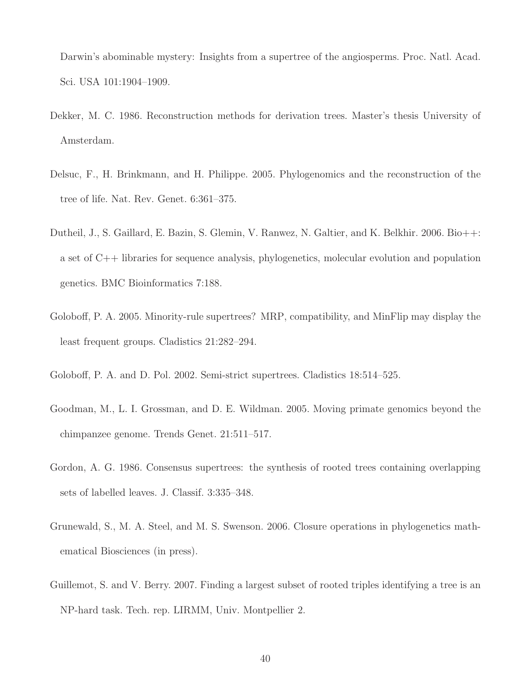Darwin's abominable mystery: Insights from a supertree of the angiosperms. Proc. Natl. Acad. Sci. USA 101:1904–1909.

- Dekker, M. C. 1986. Reconstruction methods for derivation trees. Master's thesis University of Amsterdam.
- Delsuc, F., H. Brinkmann, and H. Philippe. 2005. Phylogenomics and the reconstruction of the tree of life. Nat. Rev. Genet. 6:361–375.
- Dutheil, J., S. Gaillard, E. Bazin, S. Glemin, V. Ranwez, N. Galtier, and K. Belkhir. 2006. Bio++: a set of C++ libraries for sequence analysis, phylogenetics, molecular evolution and population genetics. BMC Bioinformatics 7:188.
- Goloboff, P. A. 2005. Minority-rule supertrees? MRP, compatibility, and MinFlip may display the least frequent groups. Cladistics 21:282–294.
- Goloboff, P. A. and D. Pol. 2002. Semi-strict supertrees. Cladistics 18:514–525.
- Goodman, M., L. I. Grossman, and D. E. Wildman. 2005. Moving primate genomics beyond the chimpanzee genome. Trends Genet. 21:511–517.
- Gordon, A. G. 1986. Consensus supertrees: the synthesis of rooted trees containing overlapping sets of labelled leaves. J. Classif. 3:335–348.
- Grunewald, S., M. A. Steel, and M. S. Swenson. 2006. Closure operations in phylogenetics mathematical Biosciences (in press).
- Guillemot, S. and V. Berry. 2007. Finding a largest subset of rooted triples identifying a tree is an NP-hard task. Tech. rep. LIRMM, Univ. Montpellier 2.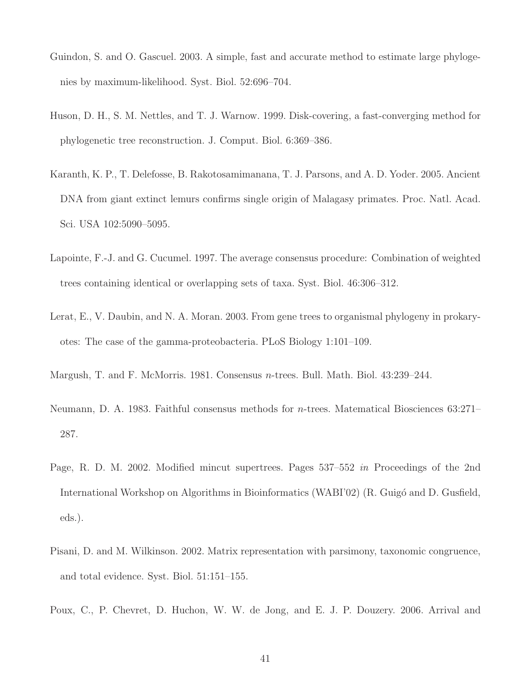- Guindon, S. and O. Gascuel. 2003. A simple, fast and accurate method to estimate large phylogenies by maximum-likelihood. Syst. Biol. 52:696–704.
- Huson, D. H., S. M. Nettles, and T. J. Warnow. 1999. Disk-covering, a fast-converging method for phylogenetic tree reconstruction. J. Comput. Biol. 6:369–386.
- Karanth, K. P., T. Delefosse, B. Rakotosamimanana, T. J. Parsons, and A. D. Yoder. 2005. Ancient DNA from giant extinct lemurs confirms single origin of Malagasy primates. Proc. Natl. Acad. Sci. USA 102:5090–5095.
- Lapointe, F.-J. and G. Cucumel. 1997. The average consensus procedure: Combination of weighted trees containing identical or overlapping sets of taxa. Syst. Biol. 46:306–312.
- Lerat, E., V. Daubin, and N. A. Moran. 2003. From gene trees to organismal phylogeny in prokaryotes: The case of the gamma-proteobacteria. PLoS Biology 1:101–109.
- Margush, T. and F. McMorris. 1981. Consensus n-trees. Bull. Math. Biol. 43:239–244.
- Neumann, D. A. 1983. Faithful consensus methods for n-trees. Matematical Biosciences 63:271– 287.
- Page, R. D. M. 2002. Modified mincut supertrees. Pages 537–552 in Proceedings of the 2nd International Workshop on Algorithms in Bioinformatics (WABI'02) (R. Guigó and D. Gusfield, eds.).
- Pisani, D. and M. Wilkinson. 2002. Matrix representation with parsimony, taxonomic congruence, and total evidence. Syst. Biol. 51:151–155.
- Poux, C., P. Chevret, D. Huchon, W. W. de Jong, and E. J. P. Douzery. 2006. Arrival and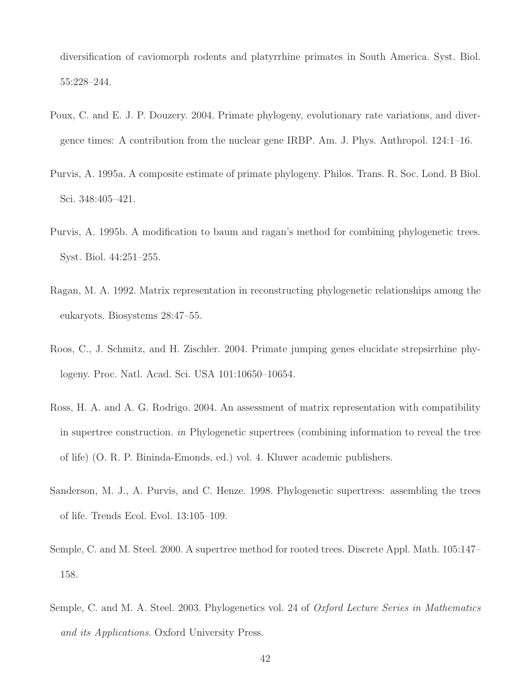diversification of caviomorph rodents and platyrrhine primates in South America. Syst. Biol. 55:228–244.

- Poux, C. and E. J. P. Douzery. 2004. Primate phylogeny, evolutionary rate variations, and divergence times: A contribution from the nuclear gene IRBP. Am. J. Phys. Anthropol. 124:1–16.
- Purvis, A. 1995a. A composite estimate of primate phylogeny. Philos. Trans. R. Soc. Lond. B Biol. Sci. 348:405–421.
- Purvis, A. 1995b. A modification to baum and ragan's method for combining phylogenetic trees. Syst. Biol. 44:251–255.
- Ragan, M. A. 1992. Matrix representation in reconstructing phylogenetic relationships among the eukaryots. Biosystems 28:47–55.
- Roos, C., J. Schmitz, and H. Zischler. 2004. Primate jumping genes elucidate strepsirrhine phylogeny. Proc. Natl. Acad. Sci. USA 101:10650–10654.
- Ross, H. A. and A. G. Rodrigo. 2004. An assessment of matrix representation with compatibility in supertree construction. in Phylogenetic supertrees (combining information to reveal the tree of life) (O. R. P. Bininda-Emonds, ed.) vol. 4. Kluwer academic publishers.
- Sanderson, M. J., A. Purvis, and C. Henze. 1998. Phylogenetic supertrees: assembling the trees of life. Trends Ecol. Evol. 13:105–109.
- Semple, C. and M. Steel. 2000. A supertree method for rooted trees. Discrete Appl. Math. 105:147– 158.
- Semple, C. and M. A. Steel. 2003. Phylogenetics vol. 24 of *Oxford Lecture Series in Mathematics* and its Applications. Oxford University Press.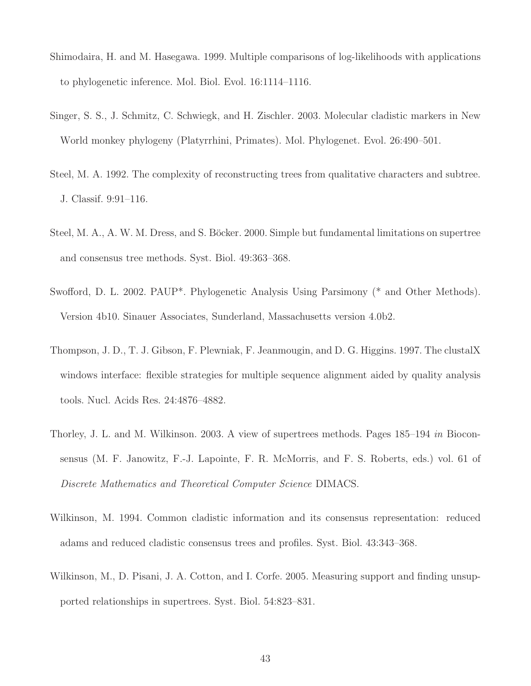- Shimodaira, H. and M. Hasegawa. 1999. Multiple comparisons of log-likelihoods with applications to phylogenetic inference. Mol. Biol. Evol. 16:1114–1116.
- Singer, S. S., J. Schmitz, C. Schwiegk, and H. Zischler. 2003. Molecular cladistic markers in New World monkey phylogeny (Platyrrhini, Primates). Mol. Phylogenet. Evol. 26:490–501.
- Steel, M. A. 1992. The complexity of reconstructing trees from qualitative characters and subtree. J. Classif. 9:91–116.
- Steel, M. A., A. W. M. Dress, and S. Böcker. 2000. Simple but fundamental limitations on supertree and consensus tree methods. Syst. Biol. 49:363–368.
- Swofford, D. L. 2002. PAUP\*. Phylogenetic Analysis Using Parsimony (\* and Other Methods). Version 4b10. Sinauer Associates, Sunderland, Massachusetts version 4.0b2.
- Thompson, J. D., T. J. Gibson, F. Plewniak, F. Jeanmougin, and D. G. Higgins. 1997. The clustalX windows interface: flexible strategies for multiple sequence alignment aided by quality analysis tools. Nucl. Acids Res. 24:4876–4882.
- Thorley, J. L. and M. Wilkinson. 2003. A view of supertrees methods. Pages 185–194 in Bioconsensus (M. F. Janowitz, F.-J. Lapointe, F. R. McMorris, and F. S. Roberts, eds.) vol. 61 of Discrete Mathematics and Theoretical Computer Science DIMACS.
- Wilkinson, M. 1994. Common cladistic information and its consensus representation: reduced adams and reduced cladistic consensus trees and profiles. Syst. Biol. 43:343–368.
- Wilkinson, M., D. Pisani, J. A. Cotton, and I. Corfe. 2005. Measuring support and finding unsupported relationships in supertrees. Syst. Biol. 54:823–831.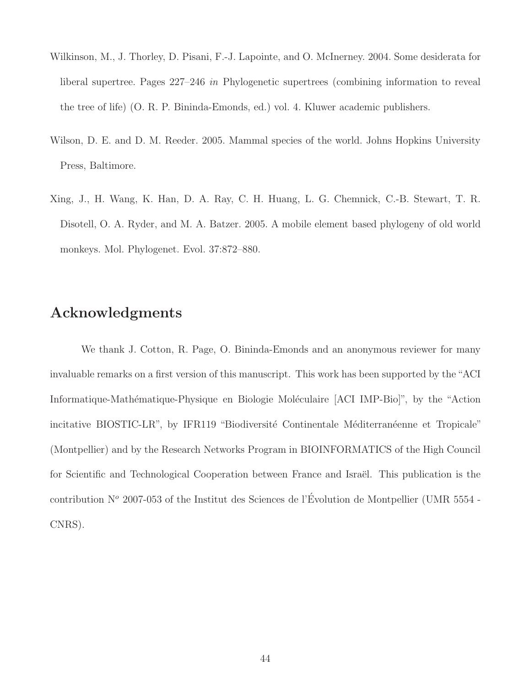- Wilkinson, M., J. Thorley, D. Pisani, F.-J. Lapointe, and O. McInerney. 2004. Some desiderata for liberal supertree. Pages 227–246 in Phylogenetic supertrees (combining information to reveal the tree of life) (O. R. P. Bininda-Emonds, ed.) vol. 4. Kluwer academic publishers.
- Wilson, D. E. and D. M. Reeder. 2005. Mammal species of the world. Johns Hopkins University Press, Baltimore.
- Xing, J., H. Wang, K. Han, D. A. Ray, C. H. Huang, L. G. Chemnick, C.-B. Stewart, T. R. Disotell, O. A. Ryder, and M. A. Batzer. 2005. A mobile element based phylogeny of old world monkeys. Mol. Phylogenet. Evol. 37:872–880.

# Acknowledgments

We thank J. Cotton, R. Page, O. Bininda-Emonds and an anonymous reviewer for many invaluable remarks on a first version of this manuscript. This work has been supported by the "ACI Informatique-Mathématique-Physique en Biologie Moléculaire [ACI IMP-Bio]", by the "Action incitative BIOSTIC-LR", by IFR119 "Biodiversité Continentale Méditerranéenne et Tropicale" (Montpellier) and by the Research Networks Program in BIOINFORMATICS of the High Council for Scientific and Technological Cooperation between France and Israël. This publication is the contribution  $N^{\circ}$  2007-053 of the Institut des Sciences de l'Évolution de Montpellier (UMR 5554 -CNRS).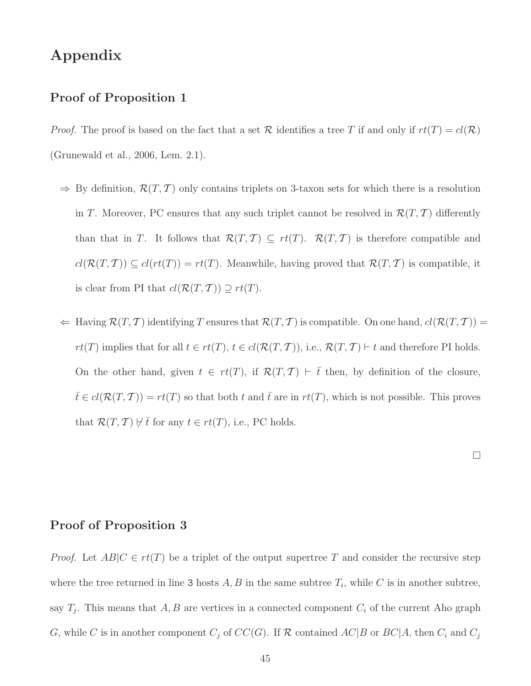# Appendix

#### Proof of Proposition 1

*Proof.* The proof is based on the fact that a set R identifies a tree T if and only if  $rt(T) = cl(\mathcal{R})$ (Grunewald et al., 2006, Lem. 2.1).

- $\Rightarrow$  By definition,  $\mathcal{R}(T, \mathcal{T})$  only contains triplets on 3-taxon sets for which there is a resolution in T. Moreover, PC ensures that any such triplet cannot be resolved in  $\mathcal{R}(T, T)$  differently than that in T. It follows that  $\mathcal{R}(T, \mathcal{T}) \subseteq rt(T)$ .  $\mathcal{R}(T, \mathcal{T})$  is therefore compatible and  $cl(\mathcal{R}(T, T)) \subseteq cl(rt(T)) = rt(T)$ . Meanwhile, having proved that  $\mathcal{R}(T, T)$  is compatible, it is clear from PI that  $cl(\mathcal{R}(T, \mathcal{T})) \supseteq rt(T)$ .
- $\Leftarrow$  Having  $\mathcal{R}(T, \mathcal{T})$  identifying T ensures that  $\mathcal{R}(T, \mathcal{T})$  is compatible. On one hand,  $cl(\mathcal{R}(T, \mathcal{T}))$  =  $rt(T)$  implies that for all  $t \in rt(T), t \in cl(\mathcal{R}(T,T)),$  i.e.,  $\mathcal{R}(T,T) \vdash t$  and therefore PI holds. On the other hand, given  $t \in rt(T)$ , if  $\mathcal{R}(T, T) \vdash \overline{t}$  then, by definition of the closure,  $\bar{t} \in cl(\mathcal{R}(T, T)) = rt(T)$  so that both t and  $\bar{t}$  are in  $rt(T)$ , which is not possible. This proves that  $\mathcal{R}(T, \mathcal{T}) \not\vdash \overline{t}$  for any  $t \in rt(T)$ , i.e., PC holds.

## Proof of Proposition 3

*Proof.* Let  $AB|C \in rt(T)$  be a triplet of the output supertree T and consider the recursive step where the tree returned in line 3 hosts  $A, B$  in the same subtree  $T_i$ , while C is in another subtree, say  $T_j$ . This means that  $A, B$  are vertices in a connected component  $C_i$  of the current Aho graph G, while C is in another component  $C_j$  of  $CC(G)$ . If R contained  $AC|B$  or  $BC|A$ , then  $C_i$  and  $C_j$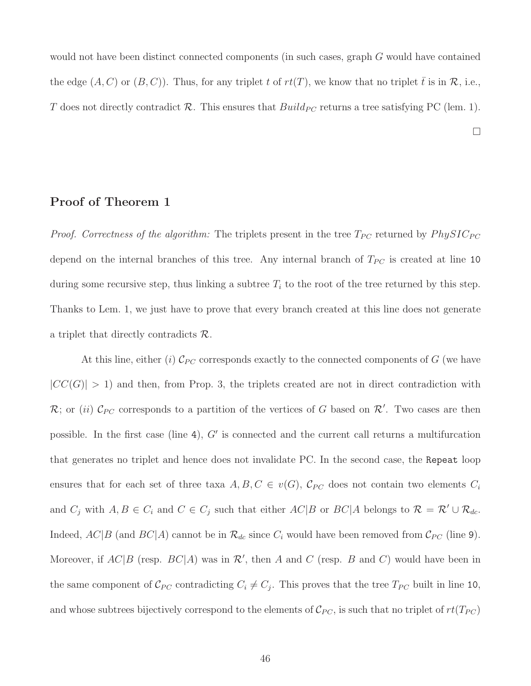would not have been distinct connected components (in such cases, graph G would have contained the edge  $(A, C)$  or  $(B, C)$ ). Thus, for any triplet t of  $rt(T)$ , we know that no triplet t is in R, i.e., T does not directly contradict R. This ensures that  $Build_{PC}$  returns a tree satisfying PC (lem. 1).

 $\Box$ 

## Proof of Theorem 1

*Proof.* Correctness of the algorithm: The triplets present in the tree  $T_{PC}$  returned by  $PhysIC_{PC}$ depend on the internal branches of this tree. Any internal branch of  $T_{PC}$  is created at line 10 during some recursive step, thus linking a subtree  $T_i$  to the root of the tree returned by this step. Thanks to Lem. 1, we just have to prove that every branch created at this line does not generate a triplet that directly contradicts  $\mathcal{R}$ .

At this line, either (i)  $\mathcal{C}_{PC}$  corresponds exactly to the connected components of G (we have  $|CC(G)| > 1$ ) and then, from Prop. 3, the triplets created are not in direct contradiction with R; or (ii)  $\mathcal{C}_{PC}$  corresponds to a partition of the vertices of G based on  $\mathcal{R}'$ . Two cases are then possible. In the first case (line 4), G' is connected and the current call returns a multifurcation that generates no triplet and hence does not invalidate PC. In the second case, the Repeat loop ensures that for each set of three taxa  $A, B, C \in v(G), C_{PC}$  does not contain two elements  $C_i$ and  $C_j$  with  $A, B \in C_i$  and  $C \in C_j$  such that either  $AC|B$  or  $BC|A$  belongs to  $\mathcal{R} = \mathcal{R}' \cup \mathcal{R}_{dc}$ . Indeed,  $AC|B$  (and  $BC|A)$  cannot be in  $\mathcal{R}_{dc}$  since  $C_i$  would have been removed from  $\mathcal{C}_{PC}$  (line 9). Moreover, if  $AC|B$  (resp.  $BC|A)$  was in  $\mathcal{R}'$ , then A and C (resp. B and C) would have been in the same component of  $\mathcal{C}_{PC}$  contradicting  $C_i \neq C_j$ . This proves that the tree  $T_{PC}$  built in line 10, and whose subtrees bijectively correspond to the elements of  $\mathcal{C}_{PC}$ , is such that no triplet of  $rt(T_{PC})$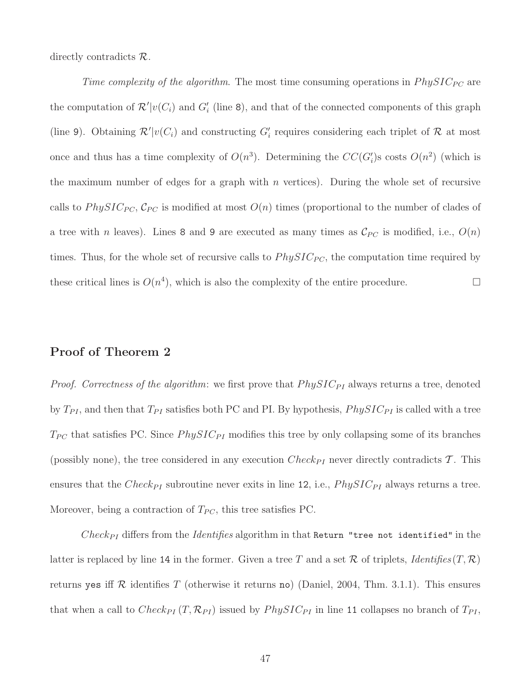directly contradicts  $\mathcal{R}$ .

Time complexity of the algorithm. The most time consuming operations in  $PhysIC_{PC}$  are the computation of  $\mathcal{R}'|v(C_i)$  and  $G'_i$  (line 8), and that of the connected components of this graph (line 9). Obtaining  $\mathcal{R}'|v(C_i)$  and constructing  $G'_i$  requires considering each triplet of  $\mathcal R$  at most once and thus has a time complexity of  $O(n^3)$ . Determining the  $CC(G_i')$ s costs  $O(n^2)$  (which is the maximum number of edges for a graph with  $n$  vertices). During the whole set of recursive calls to PhySIC<sub>PC</sub>,  $\mathcal{C}_{PC}$  is modified at most  $O(n)$  times (proportional to the number of clades of a tree with n leaves). Lines 8 and 9 are executed as many times as  $\mathcal{C}_{PC}$  is modified, i.e.,  $O(n)$ times. Thus, for the whole set of recursive calls to  $PhysIC_{PC}$ , the computation time required by these critical lines is  $O(n^4)$ , which is also the complexity of the entire procedure.

#### Proof of Theorem 2

*Proof.* Correctness of the algorithm: we first prove that  $PhysIC_{PI}$  always returns a tree, denoted by  $T_{PI}$ , and then that  $T_{PI}$  satisfies both PC and PI. By hypothesis,  $PhysIC_{PI}$  is called with a tree  $T_{PC}$  that satisfies PC. Since  $PhysIC_{PI}$  modifies this tree by only collapsing some of its branches (possibly none), the tree considered in any execution  $Check_{PI}$  never directly contradicts T. This ensures that the  $Check_{PI}$  subroutine never exits in line 12, i.e.,  $PhysIC_{PI}$  always returns a tree. Moreover, being a contraction of  $T_{PC}$ , this tree satisfies PC.

 $Check_{PI}$  differs from the *Identifies* algorithm in that Return "tree not identified" in the latter is replaced by line 14 in the former. Given a tree T and a set R of triplets, *Identifies*  $(T, \mathcal{R})$ returns yes iff  $R$  identifies  $T$  (otherwise it returns no) (Daniel, 2004, Thm. 3.1.1). This ensures that when a call to  $Check_{PI}(T, \mathcal{R}_{PI})$  issued by  $PhysIC_{PI}$  in line 11 collapses no branch of  $T_{PI}$ ,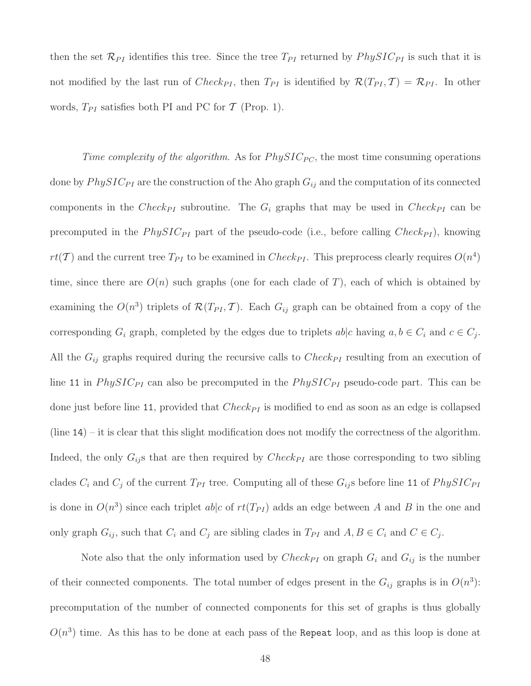then the set  $\mathcal{R}_{PI}$  identifies this tree. Since the tree  $T_{PI}$  returned by  $PhysIC_{PI}$  is such that it is not modified by the last run of  $Check_{PI}$ , then  $T_{PI}$  is identified by  $\mathcal{R}(T_{PI}, \mathcal{T}) = \mathcal{R}_{PI}$ . In other words,  $T_{PI}$  satisfies both PI and PC for  $\mathcal T$  (Prop. 1).

Time complexity of the algorithm. As for  $PhysIC_{PC}$ , the most time consuming operations done by  $PhysIC_{PI}$  are the construction of the Aho graph  $G_{ij}$  and the computation of its connected components in the  $Check_{PI}$  subroutine. The  $G_i$  graphs that may be used in  $Check_{PI}$  can be precomputed in the  $PhysIC_{PI}$  part of the pseudo-code (i.e., before calling  $Check_{PI}$ ), knowing  $rt(\mathcal{T})$  and the current tree  $T_{PI}$  to be examined in  $Check_{PI}$ . This preprocess clearly requires  $O(n^4)$ time, since there are  $O(n)$  such graphs (one for each clade of T), each of which is obtained by examining the  $O(n^3)$  triplets of  $\mathcal{R}(T_{PI}, \mathcal{T})$ . Each  $G_{ij}$  graph can be obtained from a copy of the corresponding  $G_i$  graph, completed by the edges due to triplets  $ab|c$  having  $a, b \in C_i$  and  $c \in C_j$ . All the  $G_{ij}$  graphs required during the recursive calls to  $Check_{PI}$  resulting from an execution of line 11 in  $PhysIC_{PI}$  can also be precomputed in the  $PhysIC_{PI}$  pseudo-code part. This can be done just before line 11, provided that  $Check_{PI}$  is modified to end as soon as an edge is collapsed (line 14) – it is clear that this slight modification does not modify the correctness of the algorithm. Indeed, the only  $G_{ij}$  s that are then required by  $Check_{PI}$  are those corresponding to two sibling clades  $C_i$  and  $C_j$  of the current  $T_{PI}$  tree. Computing all of these  $G_{ij}$ s before line 11 of  $PhysIC_{PI}$ is done in  $O(n^3)$  since each triplet ab|c of  $rt(T_{PI})$  adds an edge between A and B in the one and only graph  $G_{ij}$ , such that  $C_i$  and  $C_j$  are sibling clades in  $T_{PI}$  and  $A, B \in C_i$  and  $C \in C_j$ .

Note also that the only information used by  $Check_{PI}$  on graph  $G_i$  and  $G_{ij}$  is the number of their connected components. The total number of edges present in the  $G_{ij}$  graphs is in  $O(n^3)$ : precomputation of the number of connected components for this set of graphs is thus globally  $O(n^3)$  time. As this has to be done at each pass of the Repeat loop, and as this loop is done at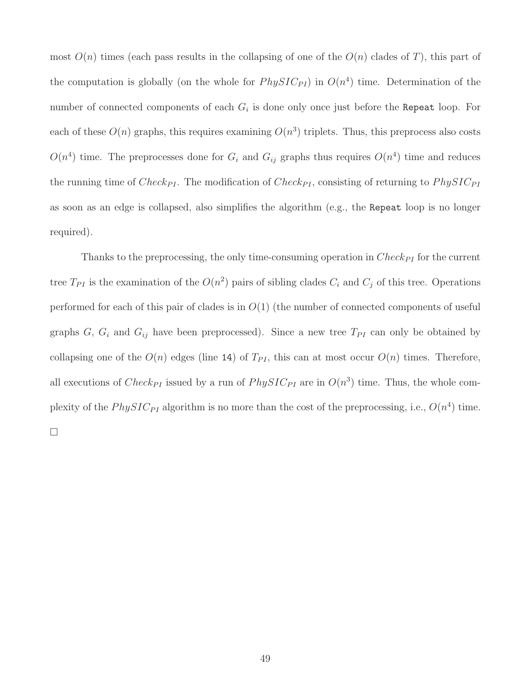most  $O(n)$  times (each pass results in the collapsing of one of the  $O(n)$  clades of T), this part of the computation is globally (on the whole for  $PhysIC_{PI}$ ) in  $O(n<sup>4</sup>)$  time. Determination of the number of connected components of each  $G_i$  is done only once just before the Repeat loop. For each of these  $O(n)$  graphs, this requires examining  $O(n^3)$  triplets. Thus, this preprocess also costs  $O(n^4)$  time. The preprocesses done for  $G_i$  and  $G_{ij}$  graphs thus requires  $O(n^4)$  time and reduces the running time of  $Check_{PI}$ . The modification of  $Check_{PI}$ , consisting of returning to  $PhysIC_{PI}$ as soon as an edge is collapsed, also simplifies the algorithm (e.g., the Repeat loop is no longer required).

Thanks to the preprocessing, the only time-consuming operation in  $Check_{PI}$  for the current tree  $T_{PI}$  is the examination of the  $O(n^2)$  pairs of sibling clades  $C_i$  and  $C_j$  of this tree. Operations performed for each of this pair of clades is in  $O(1)$  (the number of connected components of useful graphs  $G, G_i$  and  $G_{ij}$  have been preprocessed). Since a new tree  $T_{PI}$  can only be obtained by collapsing one of the  $O(n)$  edges (line 14) of  $T_{PI}$ , this can at most occur  $O(n)$  times. Therefore, all executions of  $Check_{PI}$  issued by a run of  $PhysIC_{PI}$  are in  $O(n^3)$  time. Thus, the whole complexity of the  $PhysIC_{PI}$  algorithm is no more than the cost of the preprocessing, i.e.,  $O(n^4)$  time.  $\Box$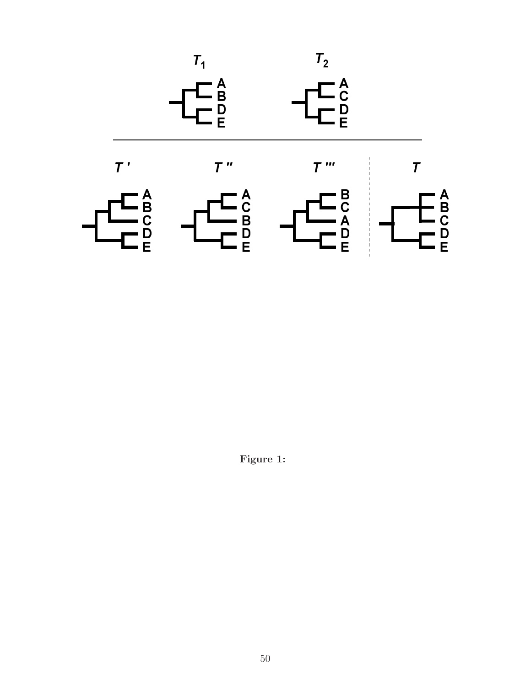

Figure 1: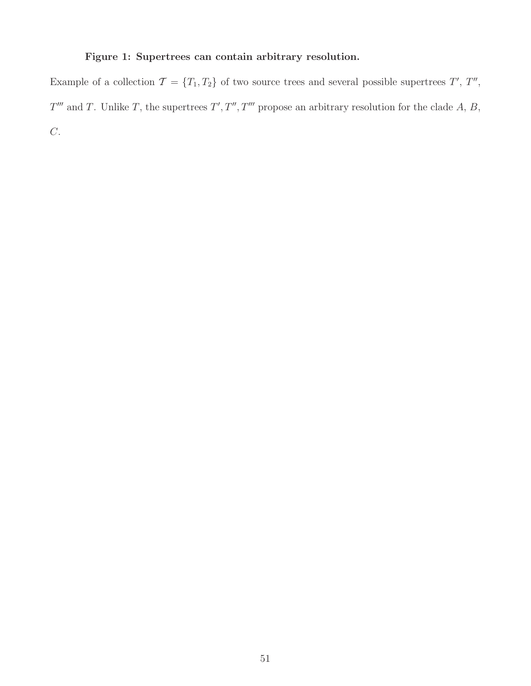#### Figure 1: Supertrees can contain arbitrary resolution.

Example of a collection  $\mathcal{T} = \{T_1, T_2\}$  of two source trees and several possible supertrees  $T', T'',$  $T'''$  and T. Unlike T, the supertrees  $T', T'', T'''$  propose an arbitrary resolution for the clade A, B,  $\overline{C}$ .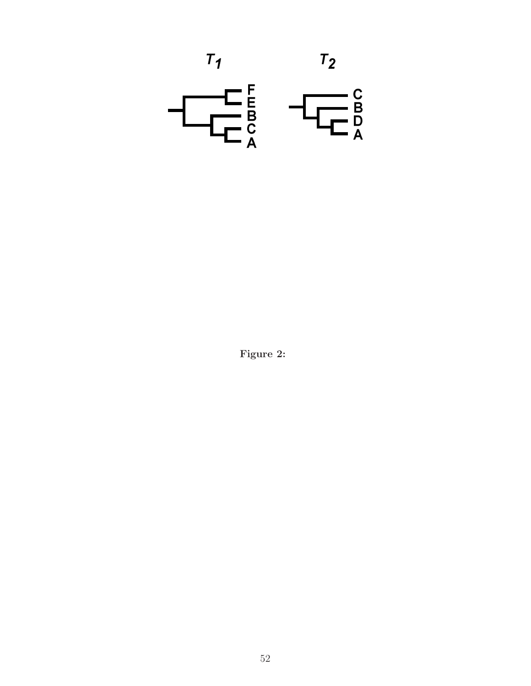

Figure 2: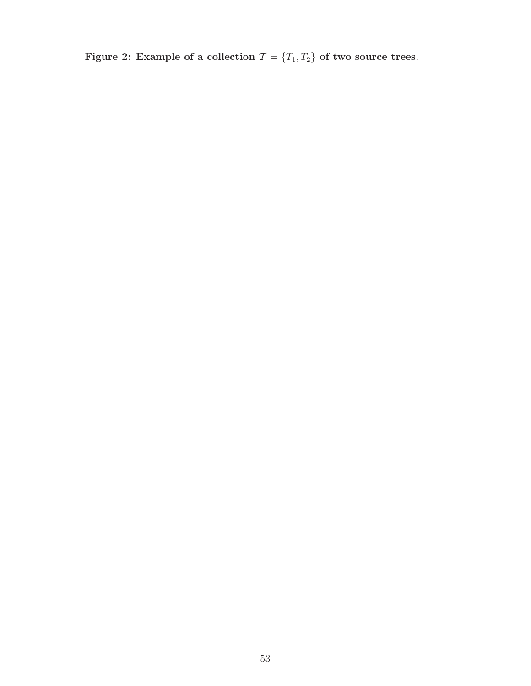Figure 2: Example of a collection  $\mathcal{T} = \{T_1, T_2\}$  of two source trees.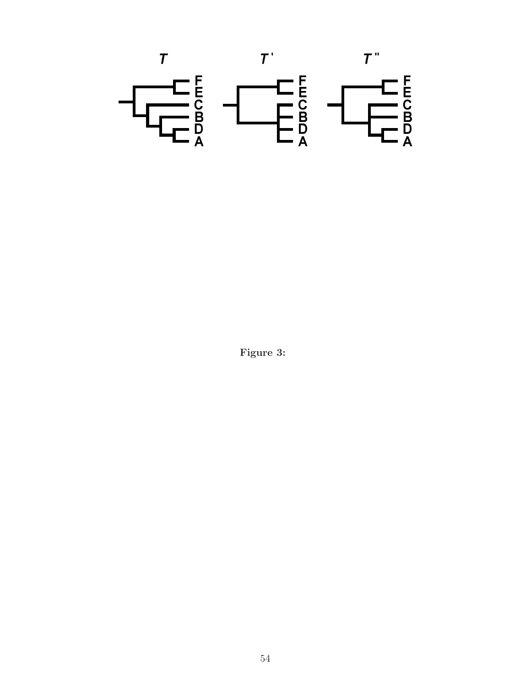

Figure 3: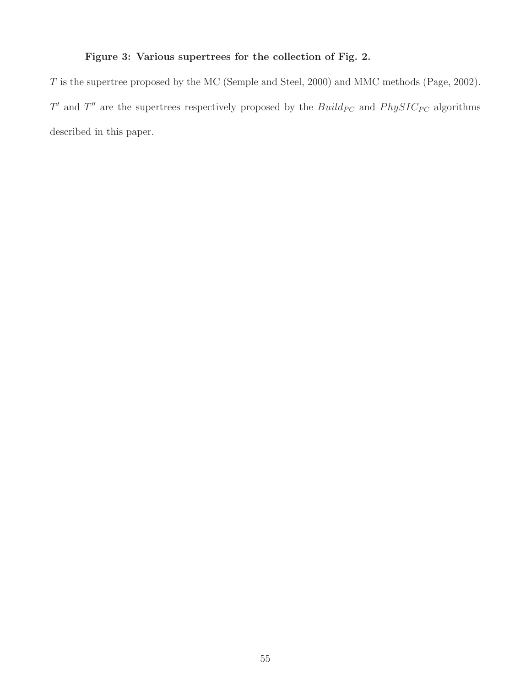### Figure 3: Various supertrees for the collection of Fig. 2.

T is the supertree proposed by the MC (Semple and Steel, 2000) and MMC methods (Page, 2002). T' and T'' are the supertrees respectively proposed by the  $Build_{PC}$  and  $PhysIC_{PC}$  algorithms described in this paper.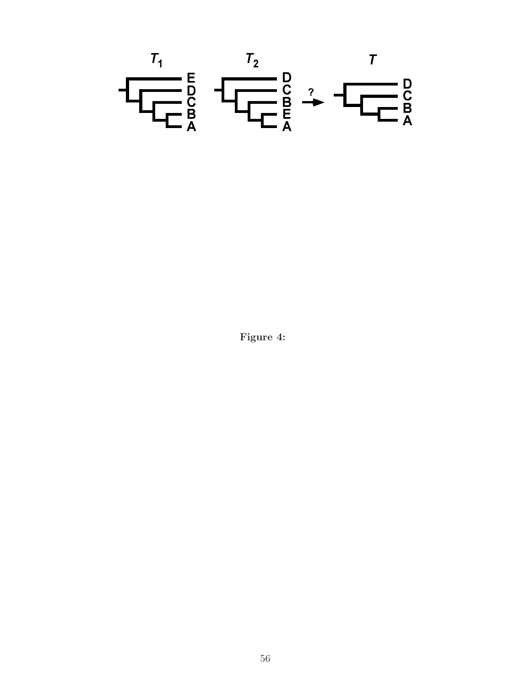

Figure 4: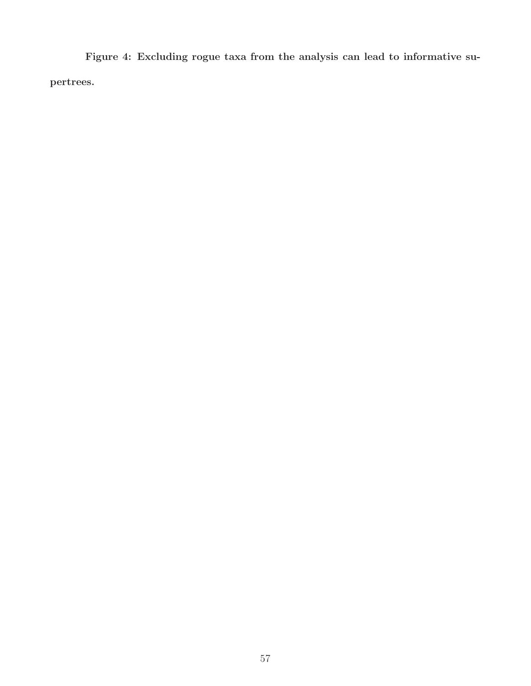Figure 4: Excluding rogue taxa from the analysis can lead to informative supertrees.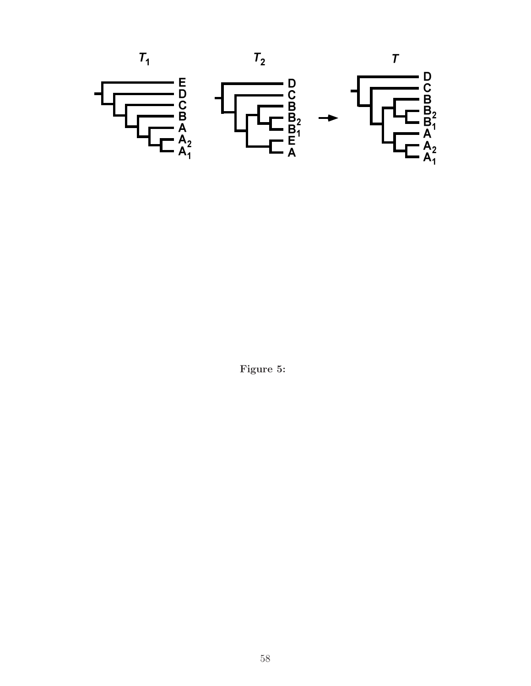

Figure 5: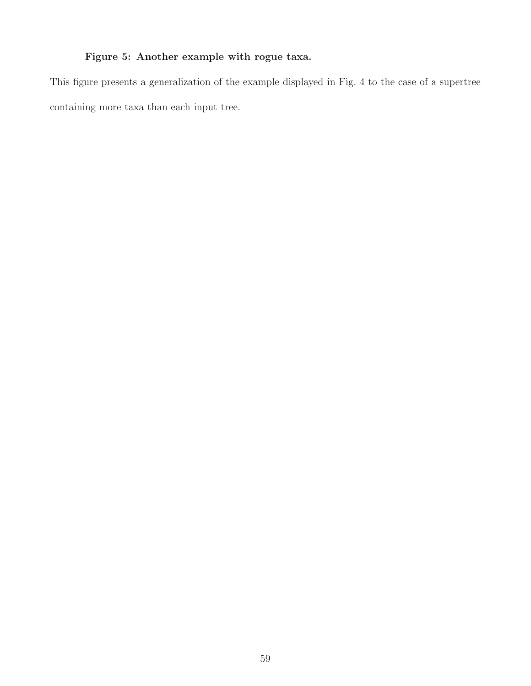## Figure 5: Another example with rogue taxa.

This figure presents a generalization of the example displayed in Fig. 4 to the case of a supertree containing more taxa than each input tree.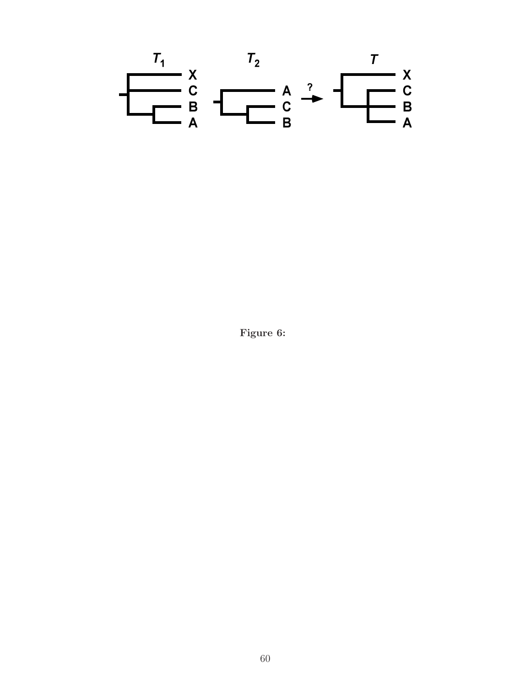

Figure 6: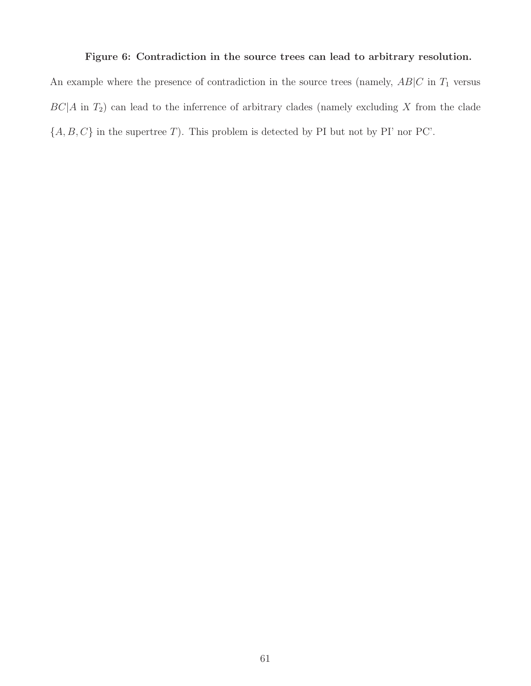#### Figure 6: Contradiction in the source trees can lead to arbitrary resolution.

An example where the presence of contradiction in the source trees (namely,  $AB|C$  in  $T_1$  versus  $BC|A$  in  $T_2$ ) can lead to the inferrence of arbitrary clades (namely excluding X from the clade  $\{A,B,C\}$  in the supertree  $T).$  This problem is detected by PI but not by PI' nor PC'.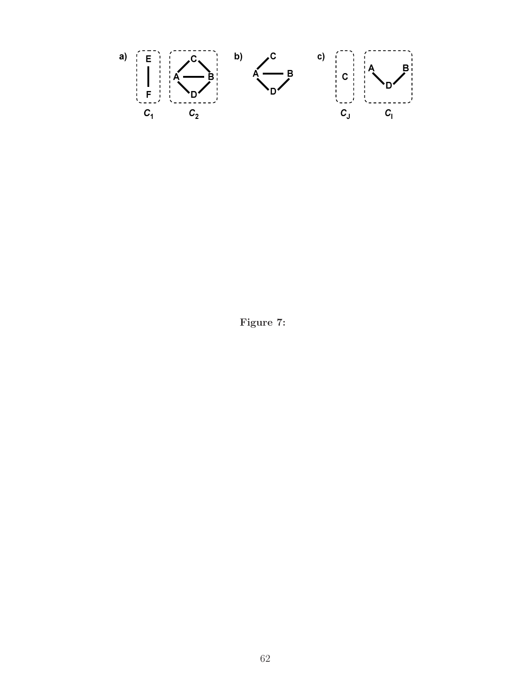

Figure 7: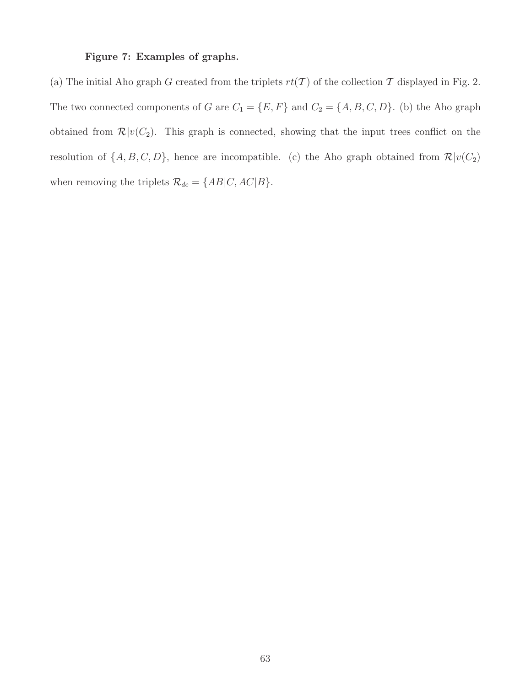#### Figure 7: Examples of graphs.

(a) The initial Aho graph G created from the triplets  $rt(\mathcal{T})$  of the collection  $\mathcal{T}$  displayed in Fig. 2. The two connected components of G are  $C_1 = \{E, F\}$  and  $C_2 = \{A, B, C, D\}$ . (b) the Aho graph obtained from  $\mathcal{R}|v(C_2)$ . This graph is connected, showing that the input trees conflict on the resolution of  $\{A, B, C, D\}$ , hence are incompatible. (c) the Aho graph obtained from  $\mathcal{R}|v(C_2)|$ when removing the triplets  $\mathcal{R}_{dc} = \{AB|C,AC|B\}.$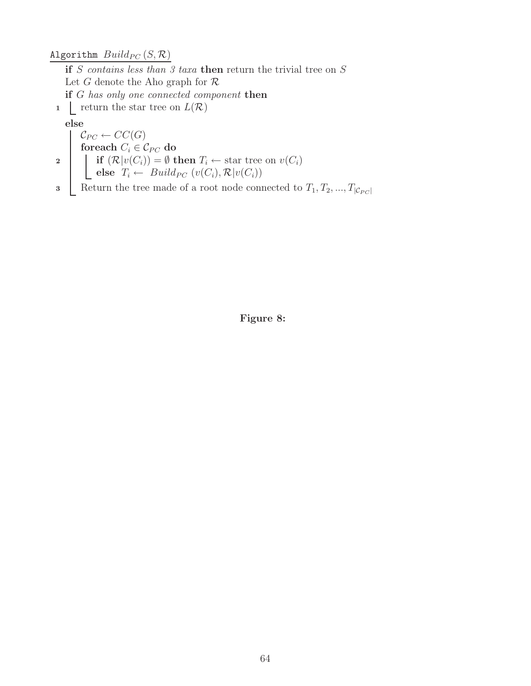Algorithm  $Build_{PC}\left(S,\mathcal{R}\right)$ 

if  $S$  contains less than 3 taxa then return the trivial tree on  $S$ Let G denote the Aho graph for  $\mathcal R$ if G has only one connected component then

1  $\mathcal{L}$  return the star tree on  $L(\mathcal{R})$ 

#### else

 $\mathcal{C}_{PC} \leftarrow CC(G)$ foreach  $C_i \in \mathcal{C}_{PC}$  do 2 if  $(\mathcal{R}|v(C_i)) = \emptyset$  then  $T_i \leftarrow$  star tree on  $v(C_i)$ else  $T_i \leftarrow \text{Build}_{PC} (v(C_i), \mathcal{R}|v(C_i))$ 

3 Return the tree made of a root node connected to  $T_1, T_2, ..., T_{|\mathcal{C}_{PC}|}$ 

Figure 8: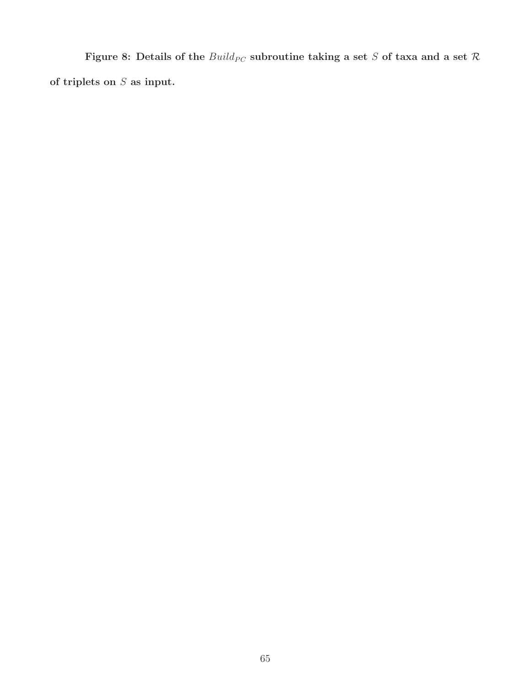Figure 8: Details of the  $Build_{PC}$  subroutine taking a set  $S$  of taxa and a set  $\mathcal R$ of triplets on  $S$  as input.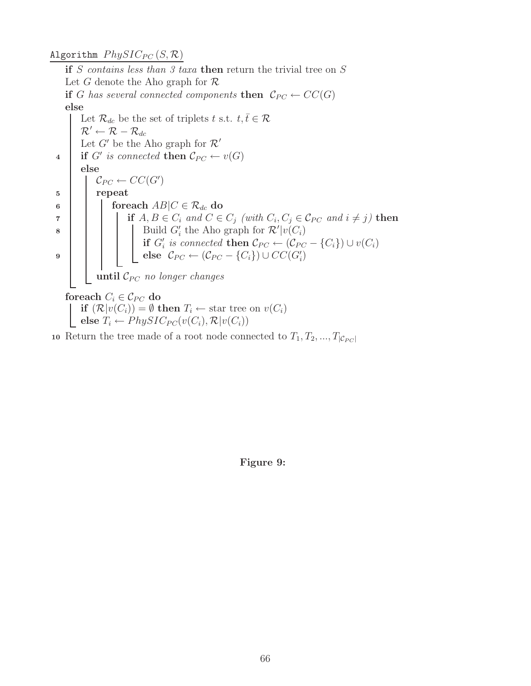#### Algorithm  $PhysIC_{PC}(S, \mathcal{R})$

if S contains less than 3 taxa then return the trivial tree on S Let G denote the Aho graph for  $\mathcal R$ if G has several connected components then  $\mathcal{C}_{PC} \leftarrow CC(G)$ else Let  $\mathcal{R}_{dc}$  be the set of triplets t s.t.  $t, \bar{t} \in \mathcal{R}$  $\mathcal{R}' \leftarrow \mathcal{R} - \mathcal{R}_{dc}$ Let  $G'$  be the Aho graph for  $\mathcal{R}'$ 4 if G' is connected then  $\mathcal{C}_{PC} \leftarrow v(G)$ else  $\mathcal{C}_{PC} \leftarrow CC(G')$ 5 | repeat 6 | | foreach  $AB|C \in \mathcal{R}_{dc}$  do  $\begin{array}{c} \mathbf{a} \quad | \quad | \quad | \quad \text{if } A, B \in C_i \text{ and } C \in C_j \text{ (with } C_i, C_j \in \mathcal{C}_{PC} \text{ and } i \neq j) \text{ then} \end{array}$ **8** | | | Build  $G'_i$  the Aho graph for  $\mathcal{R}'|v(C_i)$ if  $G'_i$  is connected then  $\mathcal{C}_{PC} \leftarrow (\mathcal{C}_{PC} - \{C_i\}) \cup v(C_i)$  $e$  )  $\qquad$   $\qquad$   $\qquad$   $\qquad$   $\qquad$   $\qquad$   $\qquad$   $\qquad$   $\qquad$   $\qquad$   $\qquad$   $\qquad$   $\qquad$   $\qquad$   $\qquad$   $\qquad$   $\qquad$   $\qquad$   $\qquad$   $\qquad$   $\qquad$   $\qquad$   $\qquad$   $\qquad$   $\qquad$   $\qquad$   $\qquad$   $\qquad$   $\qquad$   $\qquad$   $\qquad$   $\qquad$   $\qquad$   $\qquad$   $\qquad$   $\qquad$ until  $\mathcal{C}_{PC}$  no longer changes foreach  $C_i \in \mathcal{C}_{PC}$  do if  $(\mathcal{R}|v(C_i)) = \emptyset$  then  $T_i \leftarrow$  star tree on  $v(C_i)$ else  $T_i \leftarrow \mathit{PhysIC}_{PC}(v(C_i), \mathcal{R}|v(C_i))$ 10 Return the tree made of a root node connected to  $T_1, T_2, ..., T_{|\mathcal{C}_{PC}|}$ 

Figure 9: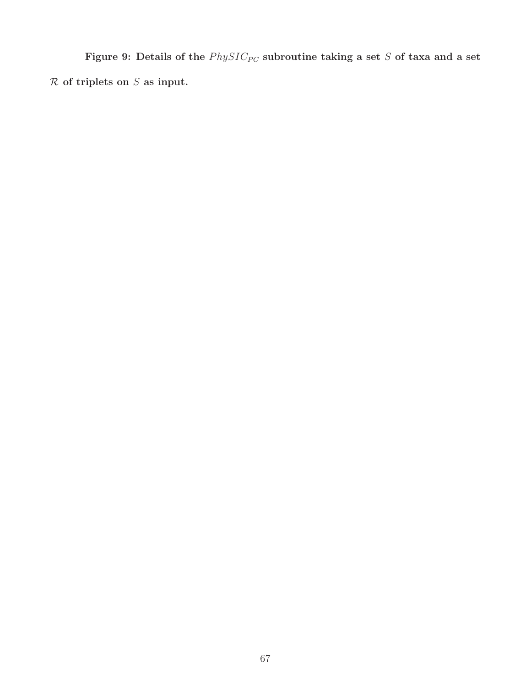Figure 9: Details of the  $PhysIC_{PC}$  subroutine taking a set S of taxa and a set  $R$  of triplets on  $S$  as input.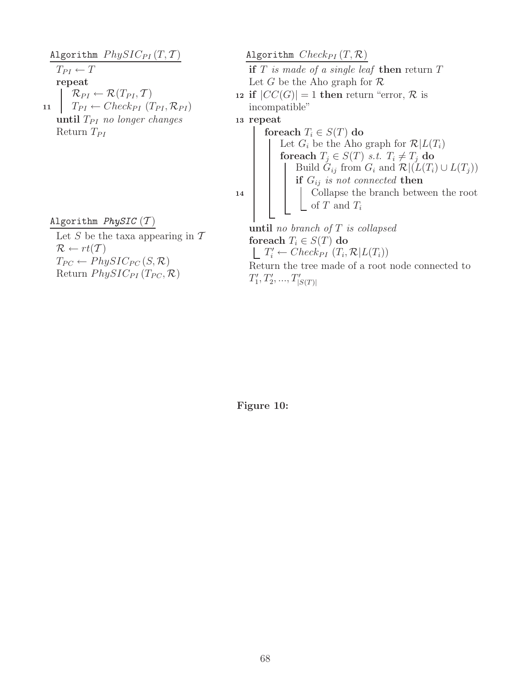Algorithm  $PhysIC_{PI}(T, T)$  $T_{PI} \leftarrow T$ repeat  $\mathcal{R}_{PI} \leftarrow \mathcal{R}(T_{PI}, \mathcal{T})$ 11  $T_{PI} \leftarrow Check_{PI} (T_{PI}, \mathcal{R}_{PI})$ until  $T_{PI}$  no longer changes Return  $T_{PI}$ 

Algorithm  $PhysIC(T)$ 

Let  $S$  be the taxa appearing in  $T$  $\mathcal{R} \leftarrow rt(\mathcal{T})$  $T_{PC} \leftarrow PhysIC_{PC}(S, \mathcal{R})$ Return  $PhysIC_{PI}(T_{PC}, \mathcal{R})$ 

Algorithm  $Check_{PI}(T, \mathcal{R})$ if  $T$  is made of a single leaf then return  $T$ Let G be the Aho graph for  $\mathcal R$ 12 if  $|CC(G)| = 1$  then return "error, R is incompatible" <sup>13</sup> repeat foreach  $T_i \in S(T)$  do Let  $G_i$  be the Aho graph for  $\mathcal{R}|L(T_i)$ foreach  $T_j \in S(T)$  s.t.  $T_i \neq T_j$  do Build  $G_{ij}$  from  $G_i$  and  $\mathcal{R} |(L(T_i) \cup L(T_j))$ if  $G_{ij}$  is not connected then <sup>14</sup> Collapse the branch between the root of  $T$  and  $T_i$ until no branch of  $T$  is collapsed foreach  $T_i \in S(T)$  do  $T'_i \leftarrow Check_{PI}(T_i, \mathcal{R}|L(T_i))$ Return the tree made of a root node connected to  $T'_1, T'_2, ..., T'_{|S(T)|}$ 

Figure 10: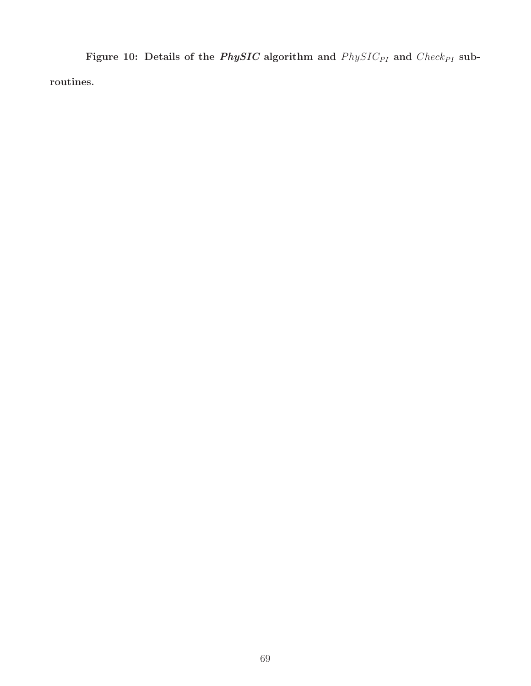Figure 10: Details of the *PhySIC* algorithm and  $PhysIC_{PI}$  and  $Check_{PI}$  subroutines.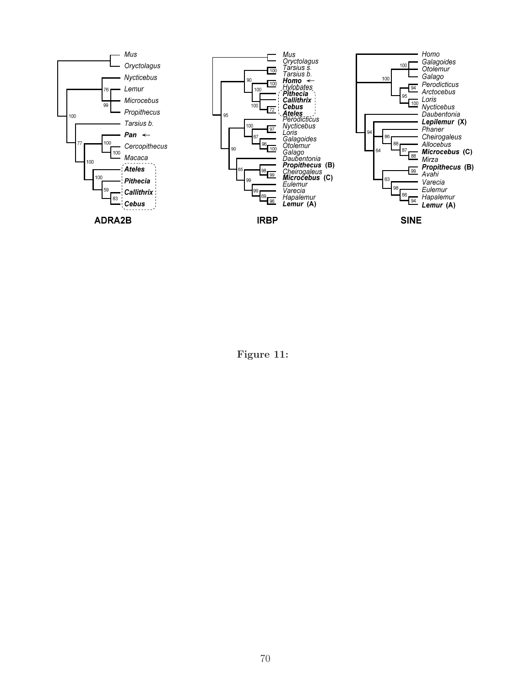

Figure 11: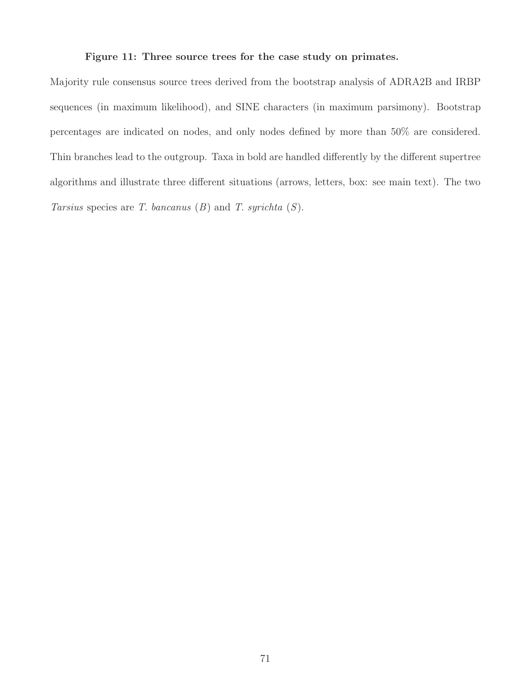#### Figure 11: Three source trees for the case study on primates.

Majority rule consensus source trees derived from the bootstrap analysis of ADRA2B and IRBP sequences (in maximum likelihood), and SINE characters (in maximum parsimony). Bootstrap percentages are indicated on nodes, and only nodes defined by more than 50% are considered. Thin branches lead to the outgroup. Taxa in bold are handled differently by the different supertree algorithms and illustrate three different situations (arrows, letters, box: see main text). The two Tarsius species are T. bancanus  $(B)$  and T. syrichta  $(S)$ .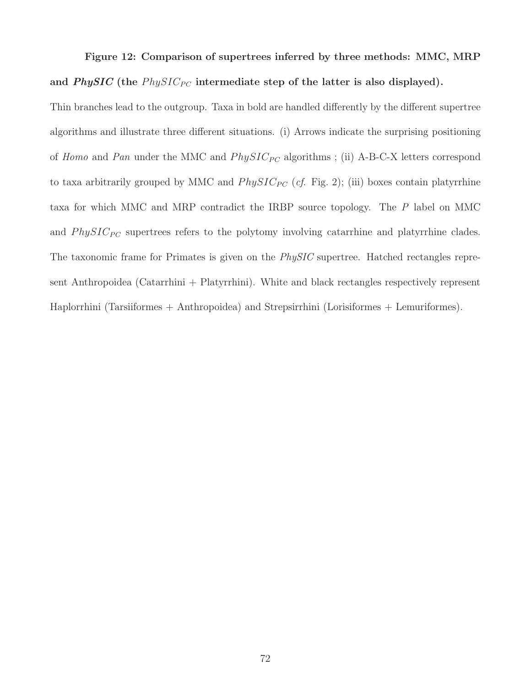# Figure 12: Comparison of supertrees inferred by three methods: MMC, MRP and *PhySIC* (the  $PhysIC_{PC}$  intermediate step of the latter is also displayed).

Thin branches lead to the outgroup. Taxa in bold are handled differently by the different supertree algorithms and illustrate three different situations. (i) Arrows indicate the surprising positioning of Homo and Pan under the MMC and  $PhysIC_{PC}$  algorithms; (ii) A-B-C-X letters correspond to taxa arbitrarily grouped by MMC and  $PhysIC_{PC}$  (cf. Fig. 2); (iii) boxes contain platyrrhine taxa for which MMC and MRP contradict the IRBP source topology. The P label on MMC and  $PhysIC_{PC}$  supertrees refers to the polytomy involving catarrhine and platyrrhine clades. The taxonomic frame for Primates is given on the *PhySIC* supertree. Hatched rectangles represent Anthropoidea (Catarrhini + Platyrrhini). White and black rectangles respectively represent Haplorrhini (Tarsiiformes + Anthropoidea) and Strepsirrhini (Lorisiformes + Lemuriformes).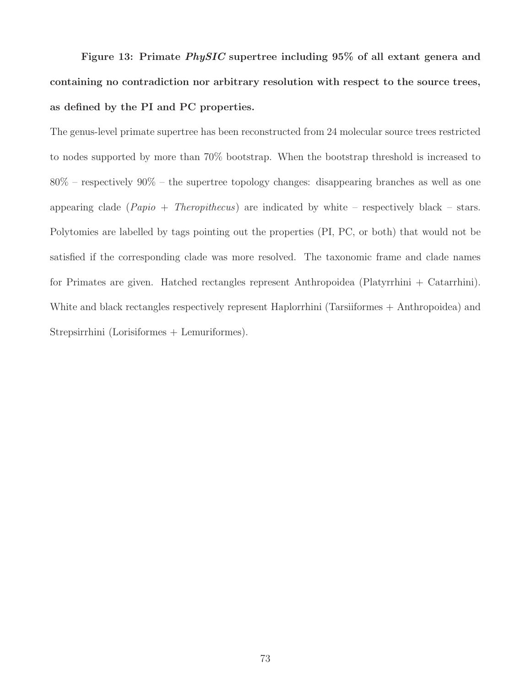Figure 13: Primate PhySIC supertree including 95% of all extant genera and containing no contradiction nor arbitrary resolution with respect to the source trees, as defined by the PI and PC properties.

The genus-level primate supertree has been reconstructed from 24 molecular source trees restricted to nodes supported by more than 70% bootstrap. When the bootstrap threshold is increased to 80% – respectively 90% – the supertree topology changes: disappearing branches as well as one appearing clade  $(Papio + Theropithecus)$  are indicated by white – respectively black – stars. Polytomies are labelled by tags pointing out the properties (PI, PC, or both) that would not be satisfied if the corresponding clade was more resolved. The taxonomic frame and clade names for Primates are given. Hatched rectangles represent Anthropoidea (Platyrrhini + Catarrhini). White and black rectangles respectively represent Haplorrhini (Tarsiiformes + Anthropoidea) and Strepsirrhini (Lorisiformes + Lemuriformes).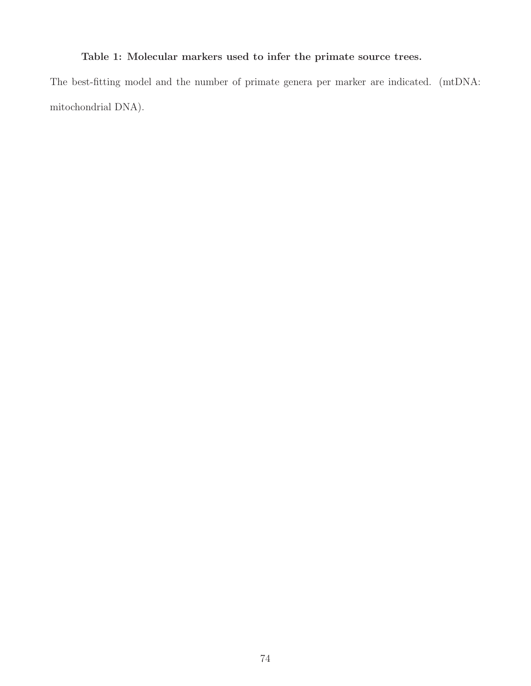## Table 1: Molecular markers used to infer the primate source trees.

The best-fitting model and the number of primate genera per marker are indicated. (mtDNA: mitochondrial DNA).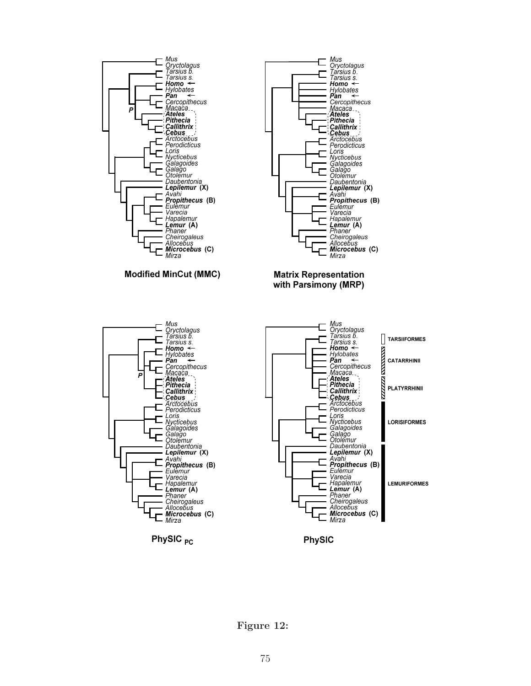

Figure 12: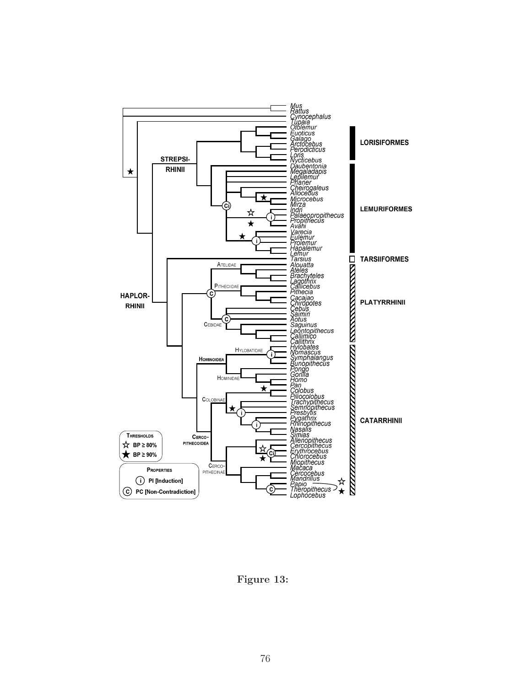

Figure 13: